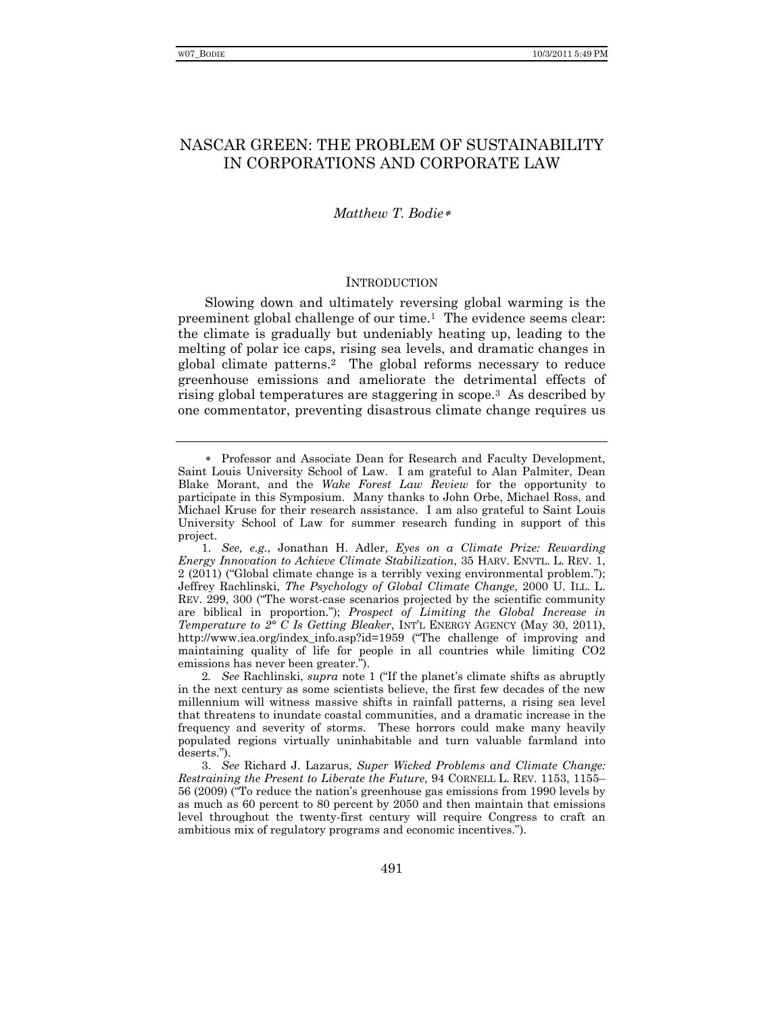# NASCAR GREEN: THE PROBLEM OF SUSTAINABILITY IN CORPORATIONS AND CORPORATE LAW

### *Matthew T. Bodie*

#### **INTRODUCTION**

Slowing down and ultimately reversing global warming is the preeminent global challenge of our time.<sup>1</sup> The evidence seems clear: the climate is gradually but undeniably heating up, leading to the melting of polar ice caps, rising sea levels, and dramatic changes in global climate patterns.2 The global reforms necessary to reduce greenhouse emissions and ameliorate the detrimental effects of rising global temperatures are staggering in scope.3 As described by one commentator, preventing disastrous climate change requires us

Professor and Associate Dean for Research and Faculty Development, Saint Louis University School of Law. I am grateful to Alan Palmiter, Dean Blake Morant, and the *Wake Forest Law Review* for the opportunity to participate in this Symposium. Many thanks to John Orbe, Michael Ross, and Michael Kruse for their research assistance. I am also grateful to Saint Louis University School of Law for summer research funding in support of this project.

 <sup>1.</sup> *See, e.g.*, Jonathan H. Adler, *Eyes on a Climate Prize: Rewarding Energy Innovation to Achieve Climate Stabilization*, 35 HARV. ENVTL. L. REV. 1, 2 (2011) ("Global climate change is a terribly vexing environmental problem."); Jeffrey Rachlinski, *The Psychology of Global Climate Change*, 2000 U. ILL. L. REV. 299, 300 ("The worst-case scenarios projected by the scientific community are biblical in proportion."); *Prospect of Limiting the Global Increase in Temperature to 2° C Is Getting Bleaker*, INT'L ENERGY AGENCY (May 30, 2011), http://www.iea.org/index\_info.asp?id=1959 ("The challenge of improving and maintaining quality of life for people in all countries while limiting CO2 emissions has never been greater.").

<sup>2</sup>*. See* Rachlinski, *supra* note 1 ("If the planet's climate shifts as abruptly in the next century as some scientists believe, the first few decades of the new millennium will witness massive shifts in rainfall patterns, a rising sea level that threatens to inundate coastal communities, and a dramatic increase in the frequency and severity of storms. These horrors could make many heavily populated regions virtually uninhabitable and turn valuable farmland into deserts.").

 <sup>3.</sup> *See* Richard J. Lazarus, *Super Wicked Problems and Climate Change: Restraining the Present to Liberate the Future*, 94 CORNELL L. REV. 1153, 1155– 56 (2009) ("To reduce the nation's greenhouse gas emissions from 1990 levels by as much as 60 percent to 80 percent by 2050 and then maintain that emissions level throughout the twenty-first century will require Congress to craft an ambitious mix of regulatory programs and economic incentives.").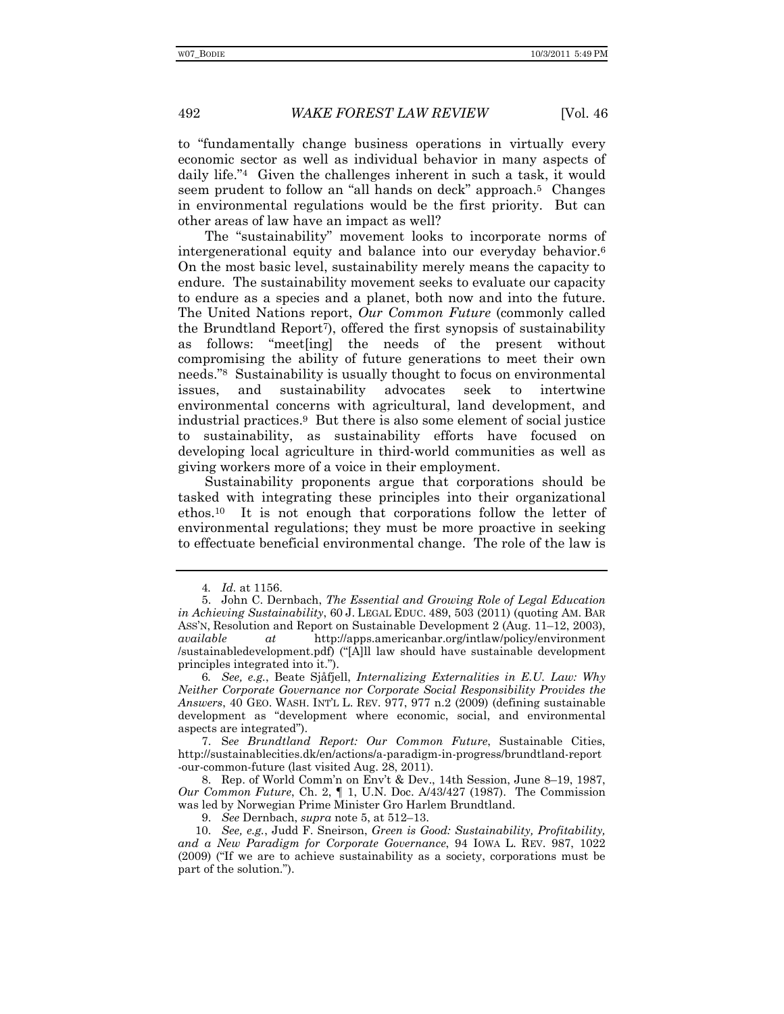to "fundamentally change business operations in virtually every economic sector as well as individual behavior in many aspects of daily life."4 Given the challenges inherent in such a task, it would seem prudent to follow an "all hands on deck" approach.<sup>5</sup> Changes in environmental regulations would be the first priority. But can other areas of law have an impact as well?

The "sustainability" movement looks to incorporate norms of intergenerational equity and balance into our everyday behavior.6 On the most basic level, sustainability merely means the capacity to endure. The sustainability movement seeks to evaluate our capacity to endure as a species and a planet, both now and into the future. The United Nations report, *Our Common Future* (commonly called the Brundtland Report7), offered the first synopsis of sustainability as follows: "meet[ing] the needs of the present without compromising the ability of future generations to meet their own needs."8 Sustainability is usually thought to focus on environmental issues, and sustainability advocates seek to intertwine environmental concerns with agricultural, land development, and industrial practices.9 But there is also some element of social justice to sustainability, as sustainability efforts have focused on developing local agriculture in third-world communities as well as giving workers more of a voice in their employment.

Sustainability proponents argue that corporations should be tasked with integrating these principles into their organizational ethos.10 It is not enough that corporations follow the letter of environmental regulations; they must be more proactive in seeking to effectuate beneficial environmental change. The role of the law is

<sup>4</sup>*. Id.* at 1156.

 <sup>5.</sup> John C. Dernbach, *The Essential and Growing Role of Legal Education in Achieving Sustainability*, 60 J. LEGAL EDUC. 489, 503 (2011) (quoting AM. BAR ASS'N, Resolution and Report on Sustainable Development 2 (Aug. 11–12, 2003), *available at* http://apps.americanbar.org/intlaw/policy/environment /sustainabledevelopment.pdf) ("[A]ll law should have sustainable development principles integrated into it.").

<sup>6</sup>*. See, e.g.*, Beate Sjåfjell, *Internalizing Externalities in E.U. Law: Why Neither Corporate Governance nor Corporate Social Responsibility Provides the Answers*, 40 GEO. WASH. INT'L L. REV. 977, 977 n.2 (2009) (defining sustainable development as "development where economic, social, and environmental aspects are integrated").

 <sup>7.</sup> S*ee Brundtland Report: Our Common Future*, Sustainable Cities, http://sustainablecities.dk/en/actions/a-paradigm-in-progress/brundtland-report -our-common-future (last visited Aug. 28, 2011).

 <sup>8.</sup> Rep. of World Comm'n on Env't & Dev., 14th Session, June 8–19, 1987, *Our Common Future*, Ch. 2, ¶ 1, U.N. Doc. A/43/427 (1987). The Commission was led by Norwegian Prime Minister Gro Harlem Brundtland.

 <sup>9.</sup> *See* Dernbach, *supra* note 5, at 512–13.

 <sup>10.</sup> *See, e.g.*, Judd F. Sneirson, *Green is Good: Sustainability, Profitability, and a New Paradigm for Corporate Governance*, 94 IOWA L. REV. 987, 1022 (2009) ("If we are to achieve sustainability as a society, corporations must be part of the solution.").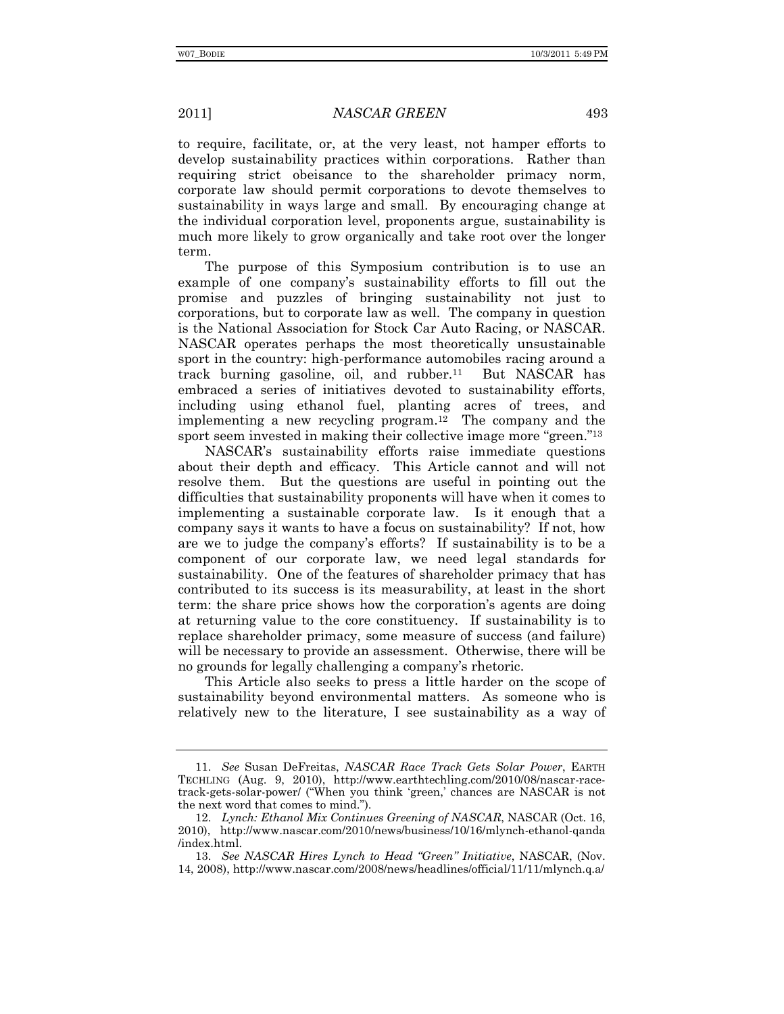to require, facilitate, or, at the very least, not hamper efforts to develop sustainability practices within corporations. Rather than requiring strict obeisance to the shareholder primacy norm, corporate law should permit corporations to devote themselves to sustainability in ways large and small. By encouraging change at the individual corporation level, proponents argue, sustainability is much more likely to grow organically and take root over the longer term.

The purpose of this Symposium contribution is to use an example of one company's sustainability efforts to fill out the promise and puzzles of bringing sustainability not just to corporations, but to corporate law as well. The company in question is the National Association for Stock Car Auto Racing, or NASCAR. NASCAR operates perhaps the most theoretically unsustainable sport in the country: high-performance automobiles racing around a track burning gasoline, oil, and rubber.11 But NASCAR has embraced a series of initiatives devoted to sustainability efforts, including using ethanol fuel, planting acres of trees, and implementing a new recycling program.12 The company and the sport seem invested in making their collective image more "green."13

NASCAR's sustainability efforts raise immediate questions about their depth and efficacy. This Article cannot and will not resolve them. But the questions are useful in pointing out the difficulties that sustainability proponents will have when it comes to implementing a sustainable corporate law. Is it enough that a company says it wants to have a focus on sustainability? If not, how are we to judge the company's efforts? If sustainability is to be a component of our corporate law, we need legal standards for sustainability. One of the features of shareholder primacy that has contributed to its success is its measurability, at least in the short term: the share price shows how the corporation's agents are doing at returning value to the core constituency. If sustainability is to replace shareholder primacy, some measure of success (and failure) will be necessary to provide an assessment. Otherwise, there will be no grounds for legally challenging a company's rhetoric.

This Article also seeks to press a little harder on the scope of sustainability beyond environmental matters. As someone who is relatively new to the literature, I see sustainability as a way of

 <sup>11.</sup> *See* Susan DeFreitas, *NASCAR Race Track Gets Solar Power*, EARTH TECHLING (Aug. 9, 2010), http://www.earthtechling.com/2010/08/nascar-racetrack-gets-solar-power/ ("When you think 'green,' chances are NASCAR is not the next word that comes to mind.").

 <sup>12.</sup> *Lynch: Ethanol Mix Continues Greening of NASCAR*, NASCAR (Oct. 16, 2010), http://www.nascar.com/2010/news/business/10/16/mlynch-ethanol-qanda /index.html.

 <sup>13.</sup> *See NASCAR Hires Lynch to Head "Green" Initiative*, NASCAR, (Nov. 14, 2008), http://www.nascar.com/2008/news/headlines/official/11/11/mlynch.q.a/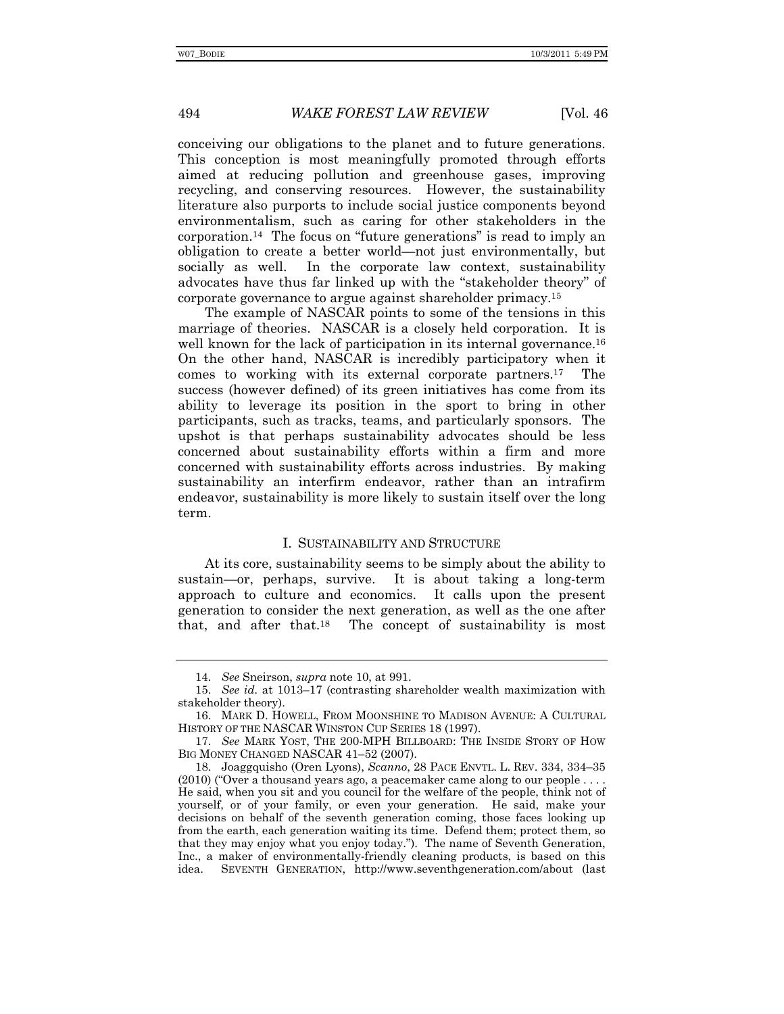conceiving our obligations to the planet and to future generations. This conception is most meaningfully promoted through efforts aimed at reducing pollution and greenhouse gases, improving recycling, and conserving resources. However, the sustainability literature also purports to include social justice components beyond environmentalism, such as caring for other stakeholders in the corporation.14 The focus on "future generations" is read to imply an obligation to create a better world—not just environmentally, but socially as well. In the corporate law context, sustainability advocates have thus far linked up with the "stakeholder theory" of corporate governance to argue against shareholder primacy.15

The example of NASCAR points to some of the tensions in this marriage of theories. NASCAR is a closely held corporation. It is well known for the lack of participation in its internal governance.<sup>16</sup> On the other hand, NASCAR is incredibly participatory when it comes to working with its external corporate partners.17 The success (however defined) of its green initiatives has come from its ability to leverage its position in the sport to bring in other participants, such as tracks, teams, and particularly sponsors. The upshot is that perhaps sustainability advocates should be less concerned about sustainability efforts within a firm and more concerned with sustainability efforts across industries. By making sustainability an interfirm endeavor, rather than an intrafirm endeavor, sustainability is more likely to sustain itself over the long term.

#### I. SUSTAINABILITY AND STRUCTURE

At its core, sustainability seems to be simply about the ability to sustain—or, perhaps, survive. It is about taking a long-term approach to culture and economics. It calls upon the present generation to consider the next generation, as well as the one after that, and after that.18 The concept of sustainability is most

 <sup>14.</sup> *See* Sneirson, *supra* note 10, at 991.

 <sup>15.</sup> *See id.* at 1013–17 (contrasting shareholder wealth maximization with stakeholder theory).

 <sup>16.</sup> MARK D. HOWELL, FROM MOONSHINE TO MADISON AVENUE: A CULTURAL HISTORY OF THE NASCAR WINSTON CUP SERIES 18 (1997).

 <sup>17.</sup> *See* MARK YOST, THE 200-MPH BILLBOARD: THE INSIDE STORY OF HOW BIG MONEY CHANGED NASCAR 41–52 (2007).

 <sup>18.</sup> Joaggquisho (Oren Lyons), *Scanno*, 28 PACE ENVTL. L. REV. 334, 334–35 (2010) ("Over a thousand years ago, a peacemaker came along to our people . . . . He said, when you sit and you council for the welfare of the people, think not of yourself, or of your family, or even your generation. He said, make your decisions on behalf of the seventh generation coming, those faces looking up from the earth, each generation waiting its time. Defend them; protect them, so that they may enjoy what you enjoy today."). The name of Seventh Generation, Inc., a maker of environmentally-friendly cleaning products, is based on this idea. SEVENTH GENERATION, http://www.seventhgeneration.com/about (last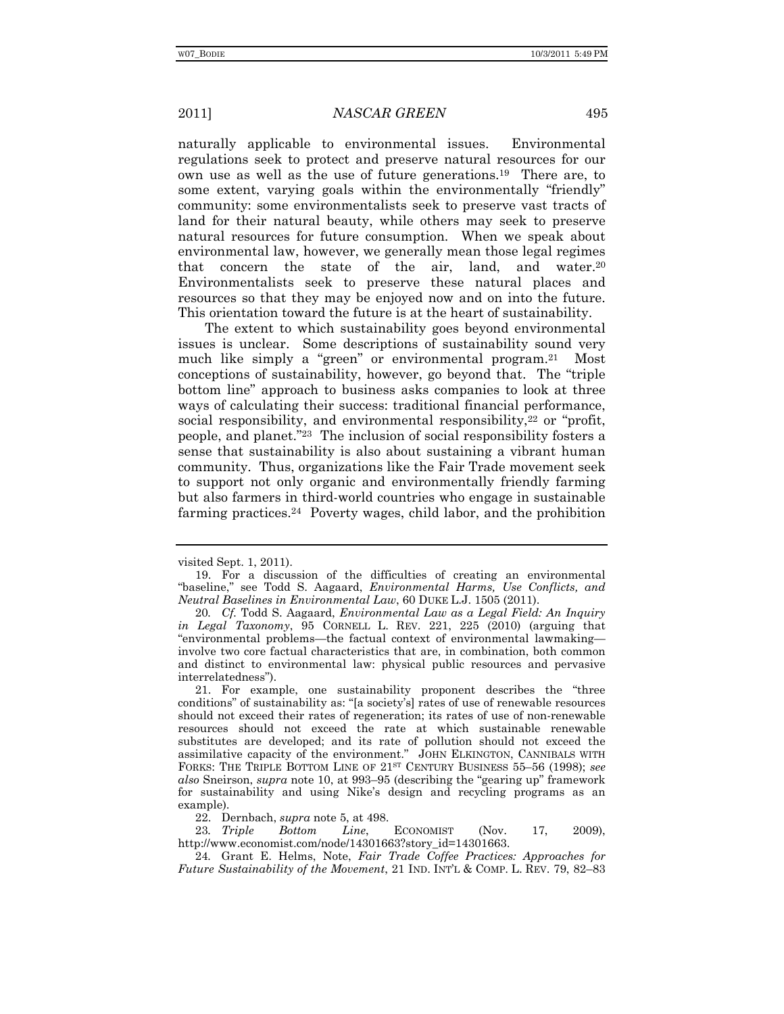naturally applicable to environmental issues. Environmental regulations seek to protect and preserve natural resources for our own use as well as the use of future generations.19 There are, to some extent, varying goals within the environmentally "friendly" community: some environmentalists seek to preserve vast tracts of land for their natural beauty, while others may seek to preserve natural resources for future consumption. When we speak about environmental law, however, we generally mean those legal regimes that concern the state of the air, land, and water.20 Environmentalists seek to preserve these natural places and resources so that they may be enjoyed now and on into the future. This orientation toward the future is at the heart of sustainability.

The extent to which sustainability goes beyond environmental issues is unclear. Some descriptions of sustainability sound very much like simply a "green" or environmental program.21 Most conceptions of sustainability, however, go beyond that. The "triple bottom line" approach to business asks companies to look at three ways of calculating their success: traditional financial performance, social responsibility, and environmental responsibility,<sup>22</sup> or "profit, people, and planet."23 The inclusion of social responsibility fosters a sense that sustainability is also about sustaining a vibrant human community. Thus, organizations like the Fair Trade movement seek to support not only organic and environmentally friendly farming but also farmers in third-world countries who engage in sustainable farming practices.24 Poverty wages, child labor, and the prohibition

22. Dernbach, *supra* note 5, at 498.

23*. Triple Bottom Line*, ECONOMIST (Nov. 17, 2009), http://www.economist.com/node/14301663?story\_id=14301663.

24*.* Grant E. Helms, Note, *Fair Trade Coffee Practices: Approaches for Future Sustainability of the Movement*, 21 IND. INT'L & COMP. L. REV. 79, 82–83

visited Sept. 1, 2011).

 <sup>19.</sup> For a discussion of the difficulties of creating an environmental "baseline," see Todd S. Aagaard, *Environmental Harms, Use Conflicts, and Neutral Baselines in Environmental Law*, 60 DUKE L.J. 1505 (2011).

<sup>20</sup>*. Cf.* Todd S. Aagaard, *Environmental Law as a Legal Field: An Inquiry in Legal Taxonomy*, 95 CORNELL L. REV. 221, 225 (2010) (arguing that "environmental problems—the factual context of environmental lawmaking involve two core factual characteristics that are, in combination, both common and distinct to environmental law: physical public resources and pervasive interrelatedness").

 <sup>21.</sup> For example, one sustainability proponent describes the "three conditions" of sustainability as: "[a society's] rates of use of renewable resources should not exceed their rates of regeneration; its rates of use of non-renewable resources should not exceed the rate at which sustainable renewable substitutes are developed; and its rate of pollution should not exceed the assimilative capacity of the environment." JOHN ELKINGTON, CANNIBALS WITH FORKS: THE TRIPLE BOTTOM LINE OF 21<sup>st</sup> CENTURY BUSINESS 55-56 (1998); see *also* Sneirson, *supra* note 10, at 993–95 (describing the "gearing up" framework for sustainability and using Nike's design and recycling programs as an example).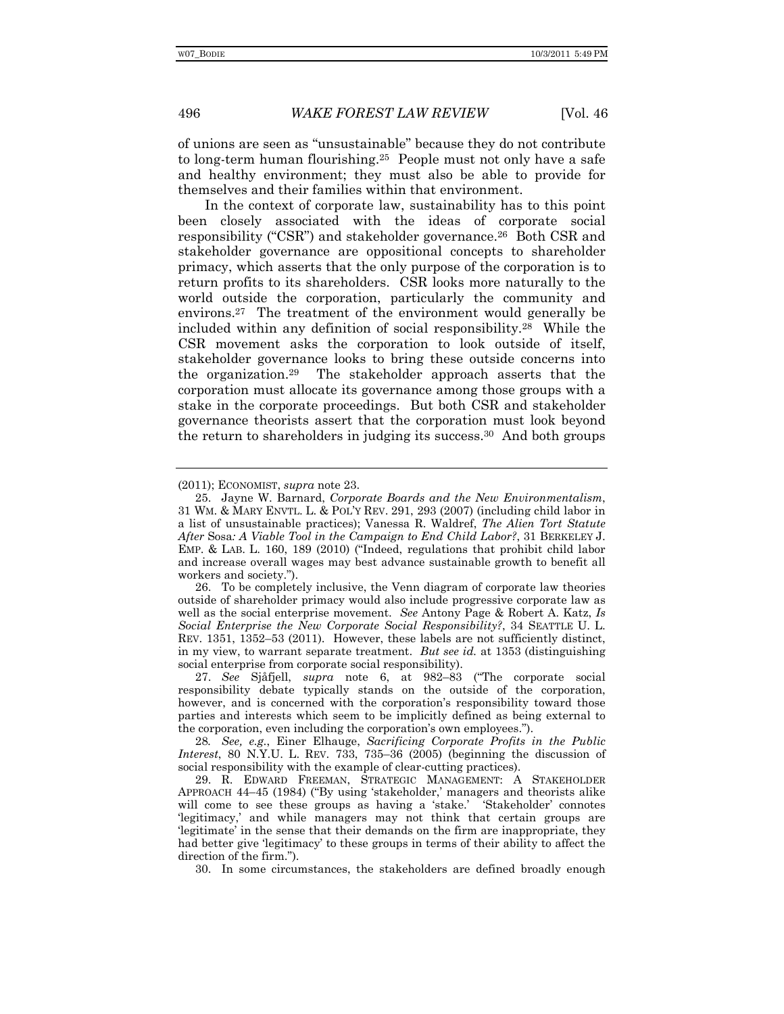of unions are seen as "unsustainable" because they do not contribute to long-term human flourishing.25 People must not only have a safe and healthy environment; they must also be able to provide for themselves and their families within that environment.

In the context of corporate law, sustainability has to this point been closely associated with the ideas of corporate social responsibility ("CSR") and stakeholder governance.26 Both CSR and stakeholder governance are oppositional concepts to shareholder primacy, which asserts that the only purpose of the corporation is to return profits to its shareholders. CSR looks more naturally to the world outside the corporation, particularly the community and environs.27 The treatment of the environment would generally be included within any definition of social responsibility.28 While the CSR movement asks the corporation to look outside of itself, stakeholder governance looks to bring these outside concerns into the organization.29 The stakeholder approach asserts that the corporation must allocate its governance among those groups with a stake in the corporate proceedings. But both CSR and stakeholder governance theorists assert that the corporation must look beyond the return to shareholders in judging its success.30 And both groups

30. In some circumstances, the stakeholders are defined broadly enough

<sup>(2011);</sup> ECONOMIST, *supra* note 23.

 <sup>25.</sup> Jayne W. Barnard, *Corporate Boards and the New Environmentalism*, 31 WM. & MARY ENVTL. L. & POL'Y REV. 291, 293 (2007) (including child labor in a list of unsustainable practices); Vanessa R. Waldref, *The Alien Tort Statute After* Sosa*: A Viable Tool in the Campaign to End Child Labor?*, 31 BERKELEY J. EMP. & LAB. L. 160, 189 (2010) ("Indeed, regulations that prohibit child labor and increase overall wages may best advance sustainable growth to benefit all workers and society.").

 <sup>26.</sup> To be completely inclusive, the Venn diagram of corporate law theories outside of shareholder primacy would also include progressive corporate law as well as the social enterprise movement. *See* Antony Page & Robert A. Katz, *Is Social Enterprise the New Corporate Social Responsibility?*, 34 SEATTLE U. L. REV. 1351, 1352–53 (2011). However, these labels are not sufficiently distinct, in my view, to warrant separate treatment. *But see id.* at 1353 (distinguishing social enterprise from corporate social responsibility).

 <sup>27.</sup> *See* Sjåfjell, *supra* note 6, at 982–83 ("The corporate social responsibility debate typically stands on the outside of the corporation, however, and is concerned with the corporation's responsibility toward those parties and interests which seem to be implicitly defined as being external to the corporation, even including the corporation's own employees.").

<sup>28</sup>*. See, e.g.*, Einer Elhauge, *Sacrificing Corporate Profits in the Public Interest*, 80 N.Y.U. L. REV. 733, 735–36 (2005) (beginning the discussion of social responsibility with the example of clear-cutting practices).

 <sup>29.</sup> R. EDWARD FREEMAN, STRATEGIC MANAGEMENT: A STAKEHOLDER APPROACH 44–45 (1984) ("By using 'stakeholder,' managers and theorists alike will come to see these groups as having a 'stake.' 'Stakeholder' connotes 'legitimacy,' and while managers may not think that certain groups are 'legitimate' in the sense that their demands on the firm are inappropriate, they had better give 'legitimacy' to these groups in terms of their ability to affect the direction of the firm.").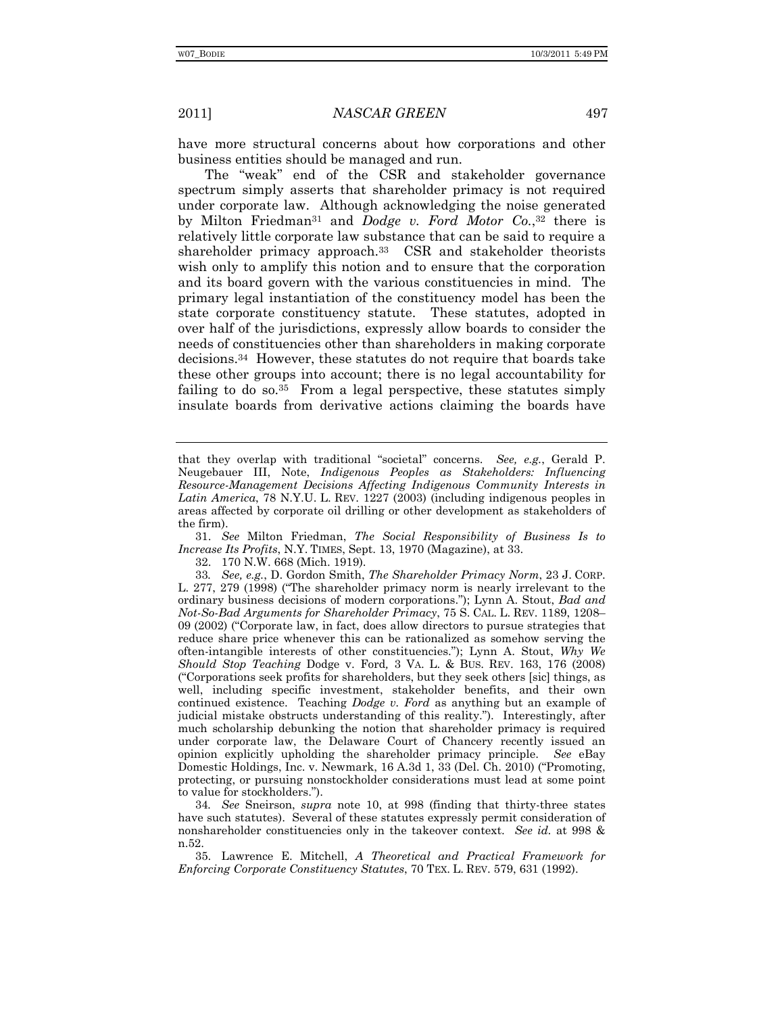have more structural concerns about how corporations and other business entities should be managed and run.

The "weak" end of the CSR and stakeholder governance spectrum simply asserts that shareholder primacy is not required under corporate law. Although acknowledging the noise generated by Milton Friedman31 and *Dodge v. Ford Motor Co.*,32 there is relatively little corporate law substance that can be said to require a shareholder primacy approach.<sup>33</sup> CSR and stakeholder theorists wish only to amplify this notion and to ensure that the corporation and its board govern with the various constituencies in mind. The primary legal instantiation of the constituency model has been the state corporate constituency statute. These statutes, adopted in over half of the jurisdictions, expressly allow boards to consider the needs of constituencies other than shareholders in making corporate decisions.34 However, these statutes do not require that boards take these other groups into account; there is no legal accountability for failing to do so.<sup>35</sup> From a legal perspective, these statutes simply insulate boards from derivative actions claiming the boards have

 31. *See* Milton Friedman, *The Social Responsibility of Business Is to Increase Its Profits*, N.Y. TIMES, Sept. 13, 1970 (Magazine), at 33.

32. 170 N.W. 668 (Mich. 1919).

34*. See* Sneirson, *supra* note 10, at 998 (finding that thirty-three states have such statutes). Several of these statutes expressly permit consideration of nonshareholder constituencies only in the takeover context. *See id.* at 998 & n.52.

 35. Lawrence E. Mitchell, *A Theoretical and Practical Framework for Enforcing Corporate Constituency Statutes*, 70 TEX. L. REV. 579, 631 (1992).

that they overlap with traditional "societal" concerns. *See, e.g.*, Gerald P. Neugebauer III, Note, *Indigenous Peoples as Stakeholders: Influencing Resource-Management Decisions Affecting Indigenous Community Interests in Latin America*, 78 N.Y.U. L. REV. 1227 (2003) (including indigenous peoples in areas affected by corporate oil drilling or other development as stakeholders of the firm).

<sup>33</sup>*. See, e.g.*, D. Gordon Smith, *The Shareholder Primacy Norm*, 23 J. CORP. L. 277, 279 (1998) ("The shareholder primacy norm is nearly irrelevant to the ordinary business decisions of modern corporations."); Lynn A. Stout, *Bad and Not-So-Bad Arguments for Shareholder Primacy*, 75 S. CAL. L. REV. 1189, 1208– 09 (2002) ("Corporate law, in fact, does allow directors to pursue strategies that reduce share price whenever this can be rationalized as somehow serving the often-intangible interests of other constituencies."); Lynn A. Stout, *Why We Should Stop Teaching* Dodge v. Ford*,* 3 VA. L. & BUS. REV. 163, 176 (2008) ("Corporations seek profits for shareholders, but they seek others [sic] things, as well, including specific investment, stakeholder benefits, and their own continued existence. Teaching *Dodge v. Ford* as anything but an example of judicial mistake obstructs understanding of this reality."). Interestingly, after much scholarship debunking the notion that shareholder primacy is required under corporate law, the Delaware Court of Chancery recently issued an opinion explicitly upholding the shareholder primacy principle. *See* eBay Domestic Holdings, Inc. v. Newmark, 16 A.3d 1, 33 (Del. Ch. 2010) ("Promoting, protecting, or pursuing nonstockholder considerations must lead at some point to value for stockholders.").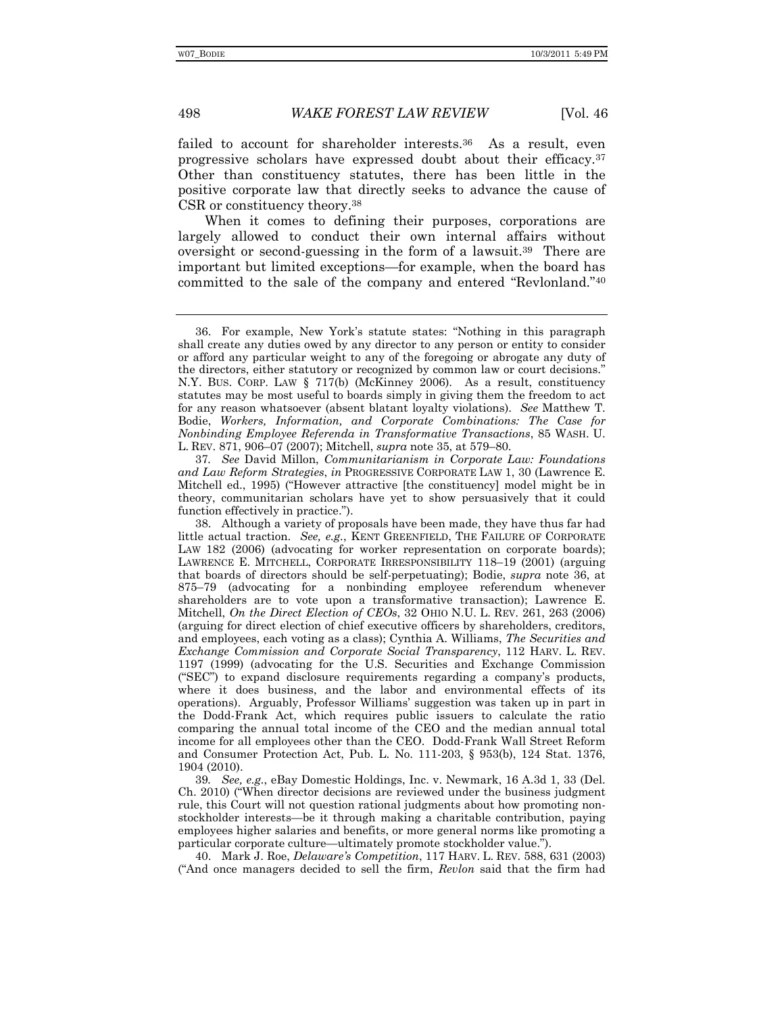failed to account for shareholder interests.<sup>36</sup> As a result, even progressive scholars have expressed doubt about their efficacy.37 Other than constituency statutes, there has been little in the positive corporate law that directly seeks to advance the cause of CSR or constituency theory.38

When it comes to defining their purposes, corporations are largely allowed to conduct their own internal affairs without oversight or second-guessing in the form of a lawsuit.39 There are important but limited exceptions—for example, when the board has committed to the sale of the company and entered "Revlonland."40

37*. See* David Millon, *Communitarianism in Corporate Law: Foundations and Law Reform Strategies*, *in* PROGRESSIVE CORPORATE LAW 1, 30 (Lawrence E. Mitchell ed., 1995) ("However attractive [the constituency] model might be in theory, communitarian scholars have yet to show persuasively that it could function effectively in practice.").

 38. Although a variety of proposals have been made, they have thus far had little actual traction. *See, e.g.*, KENT GREENFIELD, THE FAILURE OF CORPORATE LAW 182 (2006) (advocating for worker representation on corporate boards); LAWRENCE E. MITCHELL, CORPORATE IRRESPONSIBILITY 118–19 (2001) (arguing that boards of directors should be self-perpetuating); Bodie, *supra* note 36, at 875–79 (advocating for a nonbinding employee referendum whenever shareholders are to vote upon a transformative transaction); Lawrence E. Mitchell, *On the Direct Election of CEOs*, 32 OHIO N.U. L. REV. 261, 263 (2006) (arguing for direct election of chief executive officers by shareholders, creditors, and employees, each voting as a class); Cynthia A. Williams, *The Securities and Exchange Commission and Corporate Social Transparency*, 112 HARV. L. REV. 1197 (1999) (advocating for the U.S. Securities and Exchange Commission ("SEC") to expand disclosure requirements regarding a company's products, where it does business, and the labor and environmental effects of its operations). Arguably, Professor Williams' suggestion was taken up in part in the Dodd-Frank Act, which requires public issuers to calculate the ratio comparing the annual total income of the CEO and the median annual total income for all employees other than the CEO. Dodd-Frank Wall Street Reform and Consumer Protection Act, Pub. L. No. 111-203, § 953(b), 124 Stat. 1376, 1904 (2010).

39*. See, e.g.*, eBay Domestic Holdings, Inc. v. Newmark, 16 A.3d 1, 33 (Del. Ch. 2010) ("When director decisions are reviewed under the business judgment rule, this Court will not question rational judgments about how promoting nonstockholder interests—be it through making a charitable contribution, paying employees higher salaries and benefits, or more general norms like promoting a particular corporate culture—ultimately promote stockholder value.").

 40. Mark J. Roe, *Delaware's Competition*, 117 HARV. L. REV. 588, 631 (2003) ("And once managers decided to sell the firm, *Revlon* said that the firm had

 <sup>36.</sup> For example, New York's statute states: "Nothing in this paragraph shall create any duties owed by any director to any person or entity to consider or afford any particular weight to any of the foregoing or abrogate any duty of the directors, either statutory or recognized by common law or court decisions." N.Y. BUS. CORP. LAW § 717(b) (McKinney 2006). As a result, constituency statutes may be most useful to boards simply in giving them the freedom to act for any reason whatsoever (absent blatant loyalty violations). *See* Matthew T. Bodie, *Workers, Information, and Corporate Combinations: The Case for Nonbinding Employee Referenda in Transformative Transactions*, 85 WASH. U. L. REV. 871, 906–07 (2007); Mitchell, *supra* note 35, at 579–80.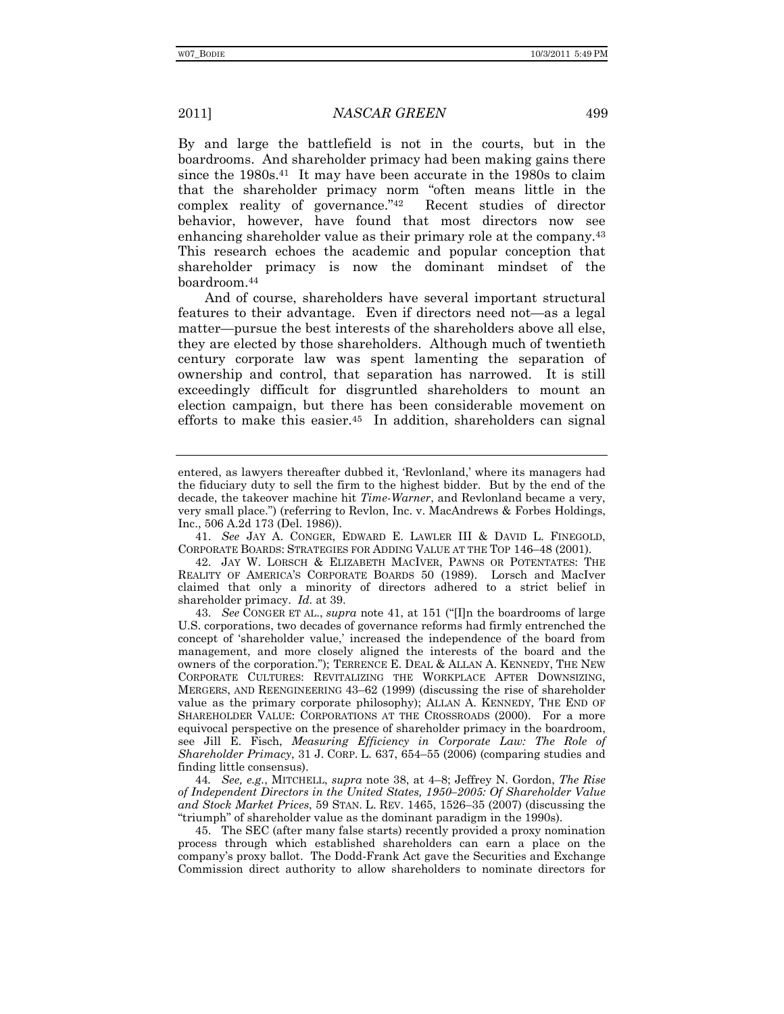By and large the battlefield is not in the courts, but in the boardrooms. And shareholder primacy had been making gains there since the 1980s.<sup>41</sup> It may have been accurate in the 1980s to claim that the shareholder primacy norm "often means little in the complex reality of governance."42 Recent studies of director behavior, however, have found that most directors now see enhancing shareholder value as their primary role at the company.43 This research echoes the academic and popular conception that shareholder primacy is now the dominant mindset of the boardroom.44

And of course, shareholders have several important structural features to their advantage. Even if directors need not—as a legal matter—pursue the best interests of the shareholders above all else, they are elected by those shareholders. Although much of twentieth century corporate law was spent lamenting the separation of ownership and control, that separation has narrowed. It is still exceedingly difficult for disgruntled shareholders to mount an election campaign, but there has been considerable movement on efforts to make this easier.45 In addition, shareholders can signal

entered, as lawyers thereafter dubbed it, 'Revlonland,' where its managers had the fiduciary duty to sell the firm to the highest bidder. But by the end of the decade, the takeover machine hit *Time-Warner*, and Revlonland became a very, very small place.") (referring to Revlon, Inc. v. MacAndrews & Forbes Holdings, Inc., 506 A.2d 173 (Del. 1986)).

 <sup>41.</sup> *See* JAY A. CONGER, EDWARD E. LAWLER III & DAVID L. FINEGOLD, CORPORATE BOARDS: STRATEGIES FOR ADDING VALUE AT THE TOP 146–48 (2001).

 <sup>42.</sup> JAY W. LORSCH & ELIZABETH MACIVER, PAWNS OR POTENTATES: THE REALITY OF AMERICA'S CORPORATE BOARDS 50 (1989). Lorsch and MacIver claimed that only a minority of directors adhered to a strict belief in shareholder primacy. *Id.* at 39.

 <sup>43.</sup> *See* CONGER ET AL., *supra* note 41, at 151 ("[I]n the boardrooms of large U.S. corporations, two decades of governance reforms had firmly entrenched the concept of 'shareholder value,' increased the independence of the board from management, and more closely aligned the interests of the board and the owners of the corporation."); TERRENCE E. DEAL & ALLAN A. KENNEDY, THE NEW CORPORATE CULTURES: REVITALIZING THE WORKPLACE AFTER DOWNSIZING, MERGERS, AND REENGINEERING 43–62 (1999) (discussing the rise of shareholder value as the primary corporate philosophy); ALLAN A. KENNEDY, THE END OF SHAREHOLDER VALUE: CORPORATIONS AT THE CROSSROADS (2000). For a more equivocal perspective on the presence of shareholder primacy in the boardroom, see Jill E. Fisch, *Measuring Efficiency in Corporate Law: The Role of Shareholder Primacy*, 31 J. CORP. L. 637, 654–55 (2006) (comparing studies and finding little consensus).

<sup>44</sup>*. See, e.g.*, MITCHELL, *supra* note 38, at 4–8; Jeffrey N. Gordon, *The Rise of Independent Directors in the United States, 1950–2005: Of Shareholder Value and Stock Market Prices*, 59 STAN. L. REV. 1465, 1526–35 (2007) (discussing the "triumph" of shareholder value as the dominant paradigm in the 1990s).

 <sup>45.</sup> The SEC (after many false starts) recently provided a proxy nomination process through which established shareholders can earn a place on the company's proxy ballot. The Dodd-Frank Act gave the Securities and Exchange Commission direct authority to allow shareholders to nominate directors for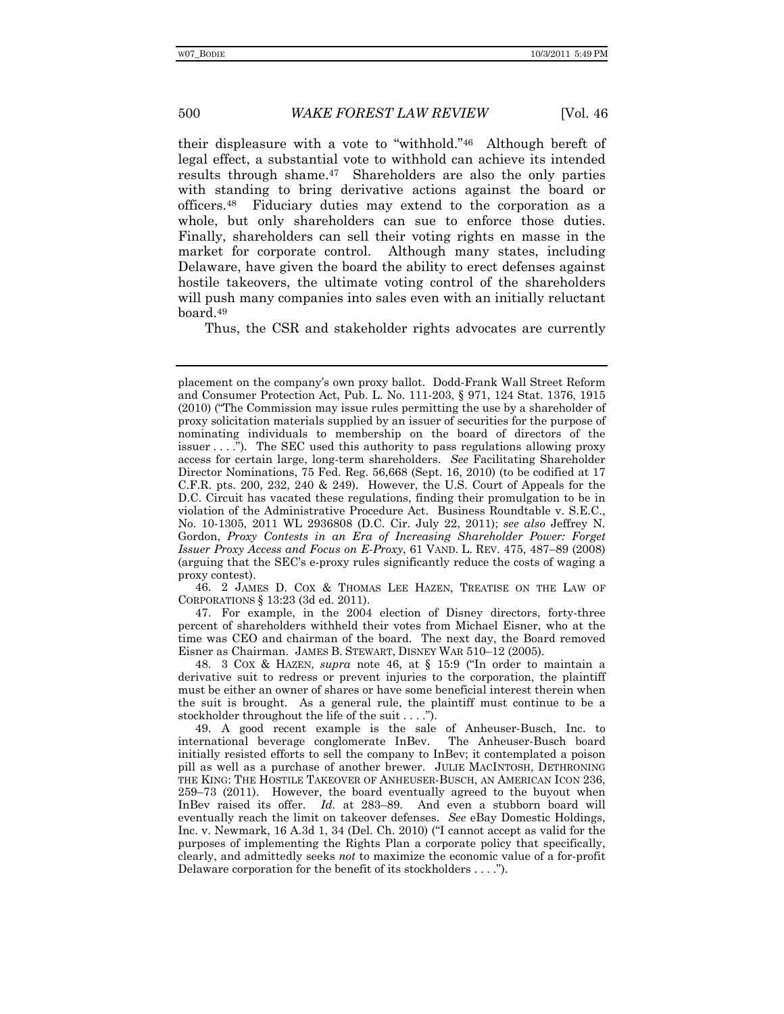their displeasure with a vote to "withhold."46 Although bereft of legal effect, a substantial vote to withhold can achieve its intended results through shame.47 Shareholders are also the only parties with standing to bring derivative actions against the board or officers.48 Fiduciary duties may extend to the corporation as a whole, but only shareholders can sue to enforce those duties. Finally, shareholders can sell their voting rights en masse in the market for corporate control. Although many states, including Delaware, have given the board the ability to erect defenses against hostile takeovers, the ultimate voting control of the shareholders will push many companies into sales even with an initially reluctant board.49

Thus, the CSR and stakeholder rights advocates are currently

 46. 2 JAMES D. COX & THOMAS LEE HAZEN, TREATISE ON THE LAW OF CORPORATIONS § 13:23 (3d ed. 2011).

 47. For example, in the 2004 election of Disney directors, forty-three percent of shareholders withheld their votes from Michael Eisner, who at the time was CEO and chairman of the board. The next day, the Board removed Eisner as Chairman. JAMES B. STEWART, DISNEY WAR 510–12 (2005).

 48. 3 COX & HAZEN, *supra* note 46, at § 15:9 ("In order to maintain a derivative suit to redress or prevent injuries to the corporation, the plaintiff must be either an owner of shares or have some beneficial interest therein when the suit is brought. As a general rule, the plaintiff must continue to be a stockholder throughout the life of the suit . . . .").

 49. A good recent example is the sale of Anheuser-Busch, Inc. to international beverage conglomerate InBev. The Anheuser-Busch board initially resisted efforts to sell the company to InBev; it contemplated a poison pill as well as a purchase of another brewer. JULIE MACINTOSH, DETHRONING THE KING: THE HOSTILE TAKEOVER OF ANHEUSER-BUSCH, AN AMERICAN ICON 236, 259–73 (2011). However, the board eventually agreed to the buyout when InBev raised its offer. *Id.* at 283–89. And even a stubborn board will eventually reach the limit on takeover defenses. *See* eBay Domestic Holdings, Inc. v. Newmark, 16 A.3d 1, 34 (Del. Ch. 2010) ("I cannot accept as valid for the purposes of implementing the Rights Plan a corporate policy that specifically, clearly, and admittedly seeks *not* to maximize the economic value of a for-profit Delaware corporation for the benefit of its stockholders . . . .").

placement on the company's own proxy ballot. Dodd-Frank Wall Street Reform and Consumer Protection Act, Pub. L. No. 111-203, § 971, 124 Stat. 1376, 1915 (2010) ("The Commission may issue rules permitting the use by a shareholder of proxy solicitation materials supplied by an issuer of securities for the purpose of nominating individuals to membership on the board of directors of the issuer . . . ."). The SEC used this authority to pass regulations allowing proxy access for certain large, long-term shareholders. *See* Facilitating Shareholder Director Nominations, 75 Fed. Reg. 56,668 (Sept. 16, 2010) (to be codified at 17 C.F.R. pts. 200, 232, 240 & 249). However, the U.S. Court of Appeals for the D.C. Circuit has vacated these regulations, finding their promulgation to be in violation of the Administrative Procedure Act. Business Roundtable v. S.E.C., No. 10-1305, 2011 WL 2936808 (D.C. Cir. July 22, 2011); *see also* Jeffrey N. Gordon, *Proxy Contests in an Era of Increasing Shareholder Power: Forget Issuer Proxy Access and Focus on E-Proxy*, 61 VAND. L. REV. 475, 487–89 (2008) (arguing that the SEC's e-proxy rules significantly reduce the costs of waging a proxy contest).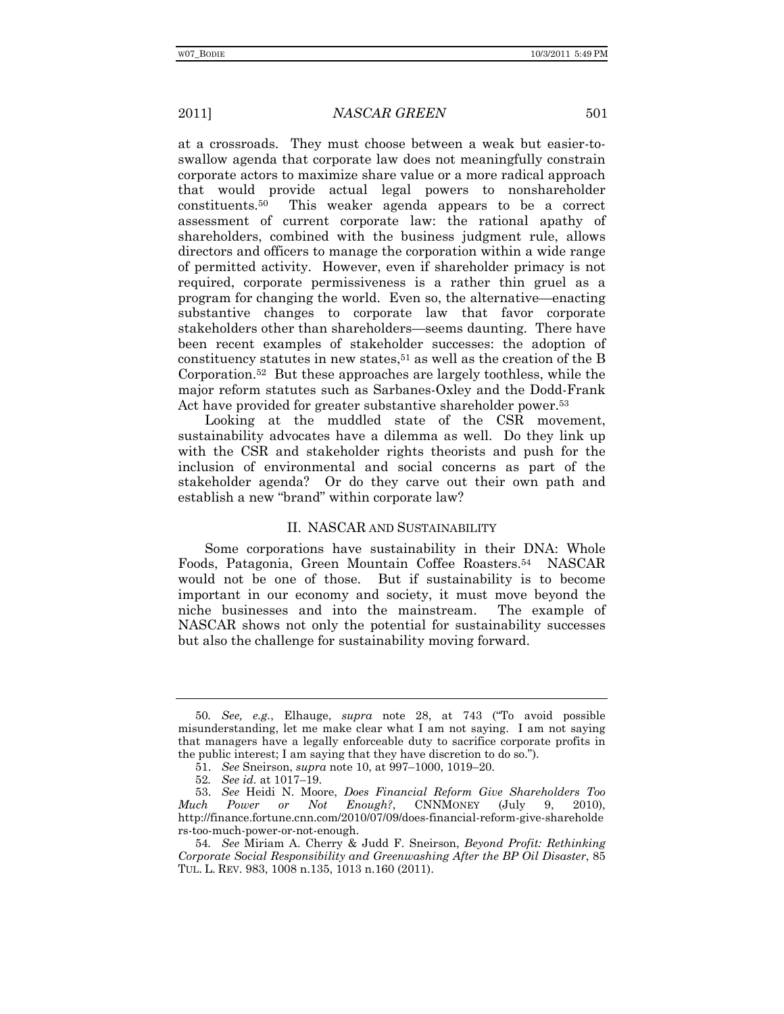at a crossroads. They must choose between a weak but easier-toswallow agenda that corporate law does not meaningfully constrain corporate actors to maximize share value or a more radical approach that would provide actual legal powers to nonshareholder constituents.50 This weaker agenda appears to be a correct assessment of current corporate law: the rational apathy of shareholders, combined with the business judgment rule, allows directors and officers to manage the corporation within a wide range of permitted activity. However, even if shareholder primacy is not required, corporate permissiveness is a rather thin gruel as a program for changing the world. Even so, the alternative—enacting substantive changes to corporate law that favor corporate stakeholders other than shareholders—seems daunting. There have been recent examples of stakeholder successes: the adoption of constituency statutes in new states,<sup>51</sup> as well as the creation of the B Corporation.52 But these approaches are largely toothless, while the major reform statutes such as Sarbanes-Oxley and the Dodd-Frank Act have provided for greater substantive shareholder power.<sup>53</sup>

Looking at the muddled state of the CSR movement, sustainability advocates have a dilemma as well. Do they link up with the CSR and stakeholder rights theorists and push for the inclusion of environmental and social concerns as part of the stakeholder agenda? Or do they carve out their own path and establish a new "brand" within corporate law?

## II. NASCAR AND SUSTAINABILITY

Some corporations have sustainability in their DNA: Whole Foods, Patagonia, Green Mountain Coffee Roasters.54 NASCAR would not be one of those. But if sustainability is to become important in our economy and society, it must move beyond the niche businesses and into the mainstream. The example of NASCAR shows not only the potential for sustainability successes but also the challenge for sustainability moving forward.

<sup>50</sup>*. See, e.g.*, Elhauge, *supra* note 28, at 743 ("To avoid possible misunderstanding, let me make clear what I am not saying. I am not saying that managers have a legally enforceable duty to sacrifice corporate profits in the public interest; I am saying that they have discretion to do so.").

 <sup>51.</sup> *See* Sneirson, *supra* note 10, at 997–1000, 1019–20.

<sup>52</sup>*. See id.* at 1017–19.

 <sup>53.</sup> *See* Heidi N. Moore, *Does Financial Reform Give Shareholders Too Much Power or Not Enough?*, CNNMONEY (July 9, 2010), http://finance.fortune.cnn.com/2010/07/09/does-financial-reform-give-shareholde rs-too-much-power-or-not-enough.

<sup>54</sup>*. See* Miriam A. Cherry & Judd F. Sneirson, *Beyond Profit: Rethinking Corporate Social Responsibility and Greenwashing After the BP Oil Disaster*, 85 TUL. L. REV. 983, 1008 n.135, 1013 n.160 (2011).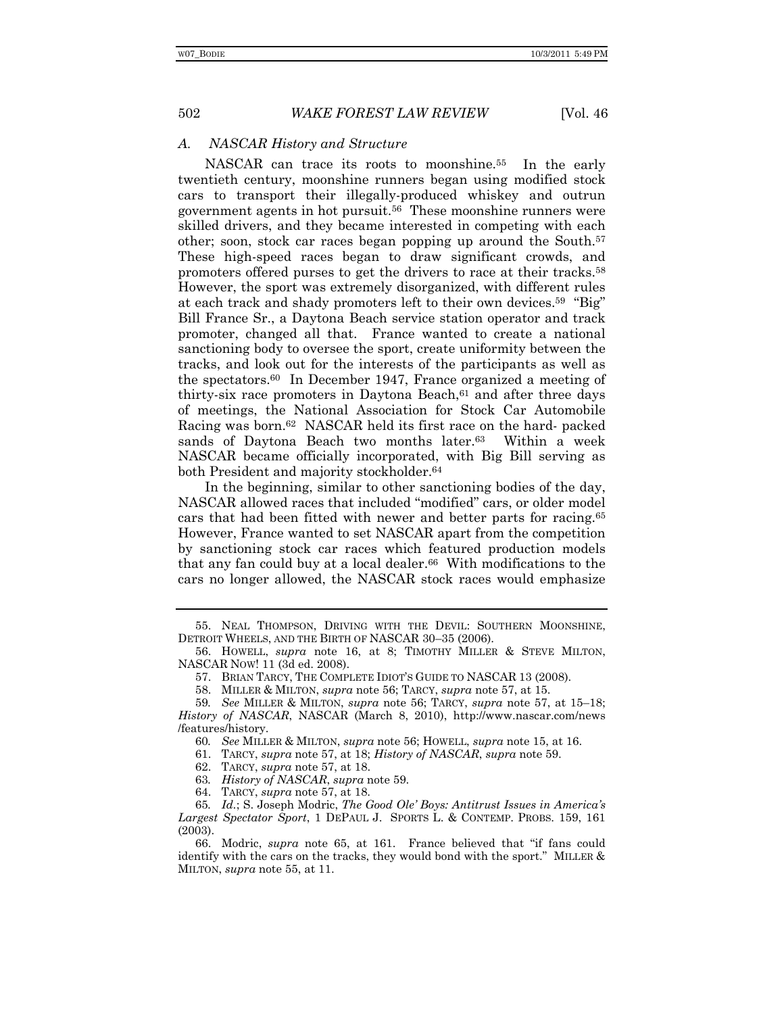### *A. NASCAR History and Structure*

NASCAR can trace its roots to moonshine.55 In the early twentieth century, moonshine runners began using modified stock cars to transport their illegally-produced whiskey and outrun government agents in hot pursuit.56 These moonshine runners were skilled drivers, and they became interested in competing with each other; soon, stock car races began popping up around the South.57 These high-speed races began to draw significant crowds, and promoters offered purses to get the drivers to race at their tracks.58 However, the sport was extremely disorganized, with different rules at each track and shady promoters left to their own devices.59 "Big" Bill France Sr., a Daytona Beach service station operator and track promoter, changed all that. France wanted to create a national sanctioning body to oversee the sport, create uniformity between the tracks, and look out for the interests of the participants as well as the spectators.60 In December 1947, France organized a meeting of thirty-six race promoters in Daytona Beach, $61$  and after three days of meetings, the National Association for Stock Car Automobile Racing was born.62 NASCAR held its first race on the hard- packed sands of Daytona Beach two months later.<sup>63</sup> Within a week NASCAR became officially incorporated, with Big Bill serving as both President and majority stockholder.64

In the beginning, similar to other sanctioning bodies of the day, NASCAR allowed races that included "modified" cars, or older model cars that had been fitted with newer and better parts for racing.65 However, France wanted to set NASCAR apart from the competition by sanctioning stock car races which featured production models that any fan could buy at a local dealer. $66$  With modifications to the cars no longer allowed, the NASCAR stock races would emphasize

 <sup>55.</sup> NEAL THOMPSON, DRIVING WITH THE DEVIL: SOUTHERN MOONSHINE, DETROIT WHEELS, AND THE BIRTH OF NASCAR 30–35 (2006).

 <sup>56.</sup> HOWELL, *supra* note 16, at 8; TIMOTHY MILLER & STEVE MILTON, NASCAR NOW! 11 (3d ed. 2008).

 <sup>57.</sup> BRIAN TARCY, THE COMPLETE IDIOT'S GUIDE TO NASCAR 13 (2008).

 <sup>58.</sup> MILLER & MILTON, *supra* note 56; TARCY, *supra* note 57, at 15.

<sup>59</sup>*. See* MILLER & MILTON, *supra* note 56; TARCY, *supra* note 57, at 15–18; *History of NASCAR*, NASCAR (March 8, 2010), http://www.nascar.com/news /features/history.

<sup>60</sup>*. See* MILLER & MILTON, *supra* note 56; HOWELL, *supra* note 15, at 16.

 <sup>61.</sup> TARCY, *supra* note 57, at 18; *History of NASCAR*, *supra* note 59.

 <sup>62.</sup> TARCY, *supra* note 57, at 18.

<sup>63</sup>*. History of NASCAR*, *supra* note 59.

 <sup>64.</sup> TARCY, *supra* note 57, at 18.

<sup>65</sup>*. Id.*; S. Joseph Modric, *The Good Ole' Boys: Antitrust Issues in America's Largest Spectator Sport*, 1 DEPAUL J. SPORTS L. & CONTEMP. PROBS. 159, 161 (2003).

 <sup>66.</sup> Modric, *supra* note 65, at 161. France believed that "if fans could identify with the cars on the tracks, they would bond with the sport." MILLER & MILTON, *supra* note 55, at 11.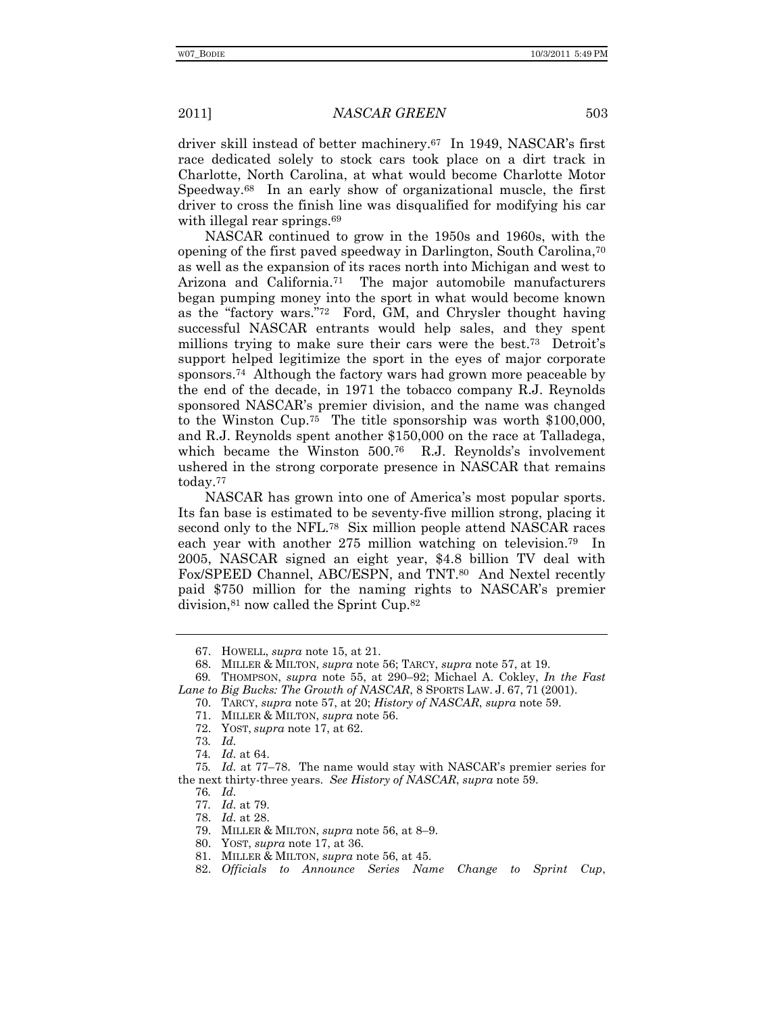driver skill instead of better machinery.67 In 1949, NASCAR's first race dedicated solely to stock cars took place on a dirt track in Charlotte, North Carolina, at what would become Charlotte Motor Speedway.68 In an early show of organizational muscle, the first driver to cross the finish line was disqualified for modifying his car with illegal rear springs.<sup>69</sup>

NASCAR continued to grow in the 1950s and 1960s, with the opening of the first paved speedway in Darlington, South Carolina,70 as well as the expansion of its races north into Michigan and west to Arizona and California.71 The major automobile manufacturers began pumping money into the sport in what would become known as the "factory wars."72 Ford, GM, and Chrysler thought having successful NASCAR entrants would help sales, and they spent millions trying to make sure their cars were the best.73 Detroit's support helped legitimize the sport in the eyes of major corporate sponsors.74 Although the factory wars had grown more peaceable by the end of the decade, in 1971 the tobacco company R.J. Reynolds sponsored NASCAR's premier division, and the name was changed to the Winston Cup.75 The title sponsorship was worth \$100,000, and R.J. Reynolds spent another \$150,000 on the race at Talladega, which became the Winston 500.<sup>76</sup> R.J. Reynolds's involvement ushered in the strong corporate presence in NASCAR that remains today.77

NASCAR has grown into one of America's most popular sports. Its fan base is estimated to be seventy-five million strong, placing it second only to the NFL.<sup>78</sup> Six million people attend NASCAR races each year with another 275 million watching on television.79 In 2005, NASCAR signed an eight year, \$4.8 billion TV deal with Fox/SPEED Channel, ABC/ESPN, and TNT.80 And Nextel recently paid \$750 million for the naming rights to NASCAR's premier division,81 now called the Sprint Cup.82

 <sup>67.</sup> HOWELL, *supra* note 15, at 21.

 <sup>68.</sup> MILLER & MILTON, *supra* note 56; TARCY, *supra* note 57, at 19.

<sup>69</sup>*.* THOMPSON, *supra* note 55, at 290–92; Michael A. Cokley, *In the Fast Lane to Big Bucks: The Growth of NASCAR*, 8 SPORTS LAW. J. 67, 71 (2001).

 <sup>70.</sup> TARCY, *supra* note 57, at 20; *History of NASCAR*, *supra* note 59.

 <sup>71.</sup> MILLER & MILTON, *supra* note 56.

 <sup>72.</sup> YOST, *supra* note 17, at 62.

<sup>73</sup>*. Id.*

<sup>74</sup>*. Id.* at 64.

<sup>75</sup>*. Id.* at 77–78. The name would stay with NASCAR's premier series for the next thirty-three years. *See History of NASCAR*, *supra* note 59.

<sup>76</sup>*. Id.*

<sup>77</sup>*. Id.* at 79.

 <sup>78.</sup> *Id.* at 28.

 <sup>79.</sup> MILLER & MILTON, *supra* note 56, at 8–9.

 <sup>80.</sup> YOST, *supra* note 17, at 36.

 <sup>81.</sup> MILLER & MILTON, *supra* note 56, at 45.

 <sup>82.</sup> *Officials to Announce Series Name Change to Sprint Cup*,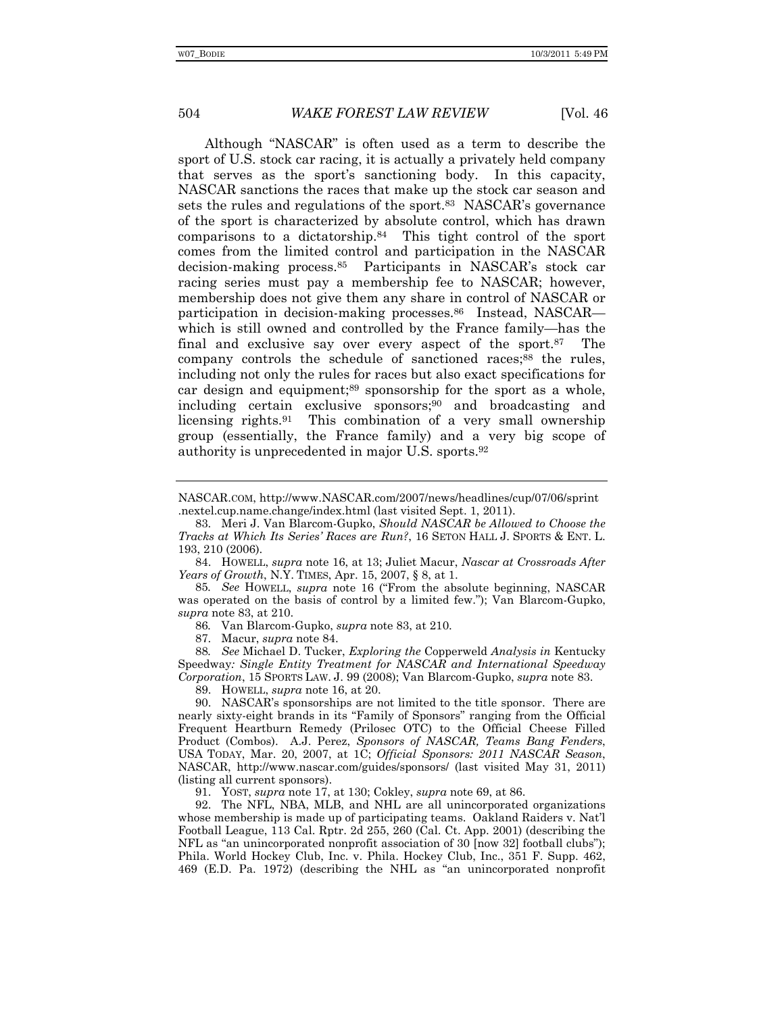Although "NASCAR" is often used as a term to describe the sport of U.S. stock car racing, it is actually a privately held company that serves as the sport's sanctioning body. In this capacity, NASCAR sanctions the races that make up the stock car season and sets the rules and regulations of the sport.83 NASCAR's governance of the sport is characterized by absolute control, which has drawn comparisons to a dictatorship.84 This tight control of the sport comes from the limited control and participation in the NASCAR decision-making process.85 Participants in NASCAR's stock car racing series must pay a membership fee to NASCAR; however, membership does not give them any share in control of NASCAR or participation in decision-making processes.86 Instead, NASCAR which is still owned and controlled by the France family—has the final and exclusive say over every aspect of the sport.87 The company controls the schedule of sanctioned races;88 the rules, including not only the rules for races but also exact specifications for car design and equipment;<sup>89</sup> sponsorship for the sport as a whole, including certain exclusive sponsors;90 and broadcasting and licensing rights.91 This combination of a very small ownership group (essentially, the France family) and a very big scope of authority is unprecedented in major U.S. sports.92

 84. HOWELL, *supra* note 16, at 13; Juliet Macur, *Nascar at Crossroads After Years of Growth*, N.Y. TIMES, Apr. 15, 2007, § 8, at 1.

85*. See* HOWELL, *supra* note 16 ("From the absolute beginning, NASCAR was operated on the basis of control by a limited few."); Van Blarcom-Gupko, *supra* note 83, at 210.

86*.* Van Blarcom-Gupko, *supra* note 83, at 210.

87. Macur, *supra* note 84.

88*. See* Michael D. Tucker, *Exploring the* Copperweld *Analysis in* Kentucky Speedway*: Single Entity Treatment for NASCAR and International Speedway Corporation*, 15 SPORTS LAW. J. 99 (2008); Van Blarcom-Gupko, *supra* note 83.

89. HOWELL, *supra* note 16, at 20.

 90. NASCAR's sponsorships are not limited to the title sponsor. There are nearly sixty-eight brands in its "Family of Sponsors" ranging from the Official Frequent Heartburn Remedy (Prilosec OTC) to the Official Cheese Filled Product (Combos). A.J. Perez, *Sponsors of NASCAR, Teams Bang Fenders*, USA TODAY, Mar. 20, 2007, at 1C; *Official Sponsors: 2011 NASCAR Season*, NASCAR, http://www.nascar.com/guides/sponsors/ (last visited May 31, 2011) (listing all current sponsors).

91. YOST, *supra* note 17, at 130; Cokley, *supra* note 69, at 86.

 92. The NFL, NBA, MLB, and NHL are all unincorporated organizations whose membership is made up of participating teams. Oakland Raiders v. Nat'l Football League, 113 Cal. Rptr. 2d 255, 260 (Cal. Ct. App. 2001) (describing the NFL as "an unincorporated nonprofit association of 30 [now 32] football clubs"); Phila. World Hockey Club, Inc. v. Phila. Hockey Club, Inc., 351 F. Supp. 462, 469 (E.D. Pa. 1972) (describing the NHL as "an unincorporated nonprofit

NASCAR.COM, http://www.NASCAR.com/2007/news/headlines/cup/07/06/sprint .nextel.cup.name.change/index.html (last visited Sept. 1, 2011).

 <sup>83.</sup> Meri J. Van Blarcom-Gupko, *Should NASCAR be Allowed to Choose the Tracks at Which Its Series' Races are Run?*, 16 SETON HALL J. SPORTS & ENT. L. 193, 210 (2006).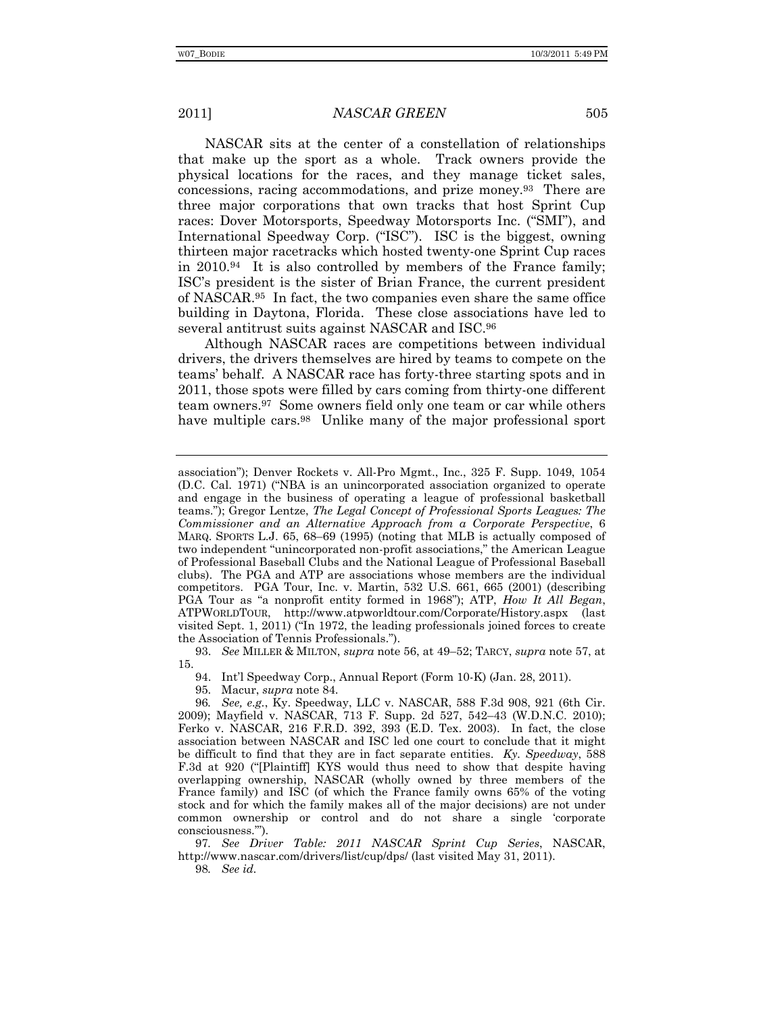NASCAR sits at the center of a constellation of relationships that make up the sport as a whole. Track owners provide the physical locations for the races, and they manage ticket sales, concessions, racing accommodations, and prize money.93 There are three major corporations that own tracks that host Sprint Cup races: Dover Motorsports, Speedway Motorsports Inc. ("SMI"), and International Speedway Corp. ("ISC"). ISC is the biggest, owning thirteen major racetracks which hosted twenty-one Sprint Cup races in 2010.94 It is also controlled by members of the France family; ISC's president is the sister of Brian France, the current president of NASCAR.95 In fact, the two companies even share the same office building in Daytona, Florida. These close associations have led to several antitrust suits against NASCAR and ISC.96

Although NASCAR races are competitions between individual drivers, the drivers themselves are hired by teams to compete on the teams' behalf. A NASCAR race has forty-three starting spots and in 2011, those spots were filled by cars coming from thirty-one different team owners.97 Some owners field only one team or car while others have multiple cars.98 Unlike many of the major professional sport

 93. *See* MILLER & MILTON, *supra* note 56, at 49–52; TARCY, *supra* note 57, at 15.

94. Int'l Speedway Corp., Annual Report (Form 10-K) (Jan. 28, 2011).

95. Macur, *supra* note 84.

98*. See id.*

association"); Denver Rockets v. All-Pro Mgmt., Inc., 325 F. Supp. 1049, 1054 (D.C. Cal. 1971) ("NBA is an unincorporated association organized to operate and engage in the business of operating a league of professional basketball teams."); Gregor Lentze, *The Legal Concept of Professional Sports Leagues: The Commissioner and an Alternative Approach from a Corporate Perspective*, 6 MARQ. SPORTS L.J. 65, 68–69 (1995) (noting that MLB is actually composed of two independent "unincorporated non-profit associations," the American League of Professional Baseball Clubs and the National League of Professional Baseball clubs). The PGA and ATP are associations whose members are the individual competitors. PGA Tour, Inc. v. Martin, 532 U.S. 661, 665 (2001) (describing PGA Tour as "a nonprofit entity formed in 1968"); ATP, *How It All Began*, ATPWORLDTOUR, http://www.atpworldtour.com/Corporate/History.aspx (last visited Sept. 1, 2011) ("In 1972, the leading professionals joined forces to create the Association of Tennis Professionals.").

<sup>96</sup>*. See, e.g.*, Ky. Speedway, LLC v. NASCAR, 588 F.3d 908, 921 (6th Cir. 2009); Mayfield v. NASCAR, 713 F. Supp. 2d 527, 542–43 (W.D.N.C. 2010); Ferko v. NASCAR, 216 F.R.D. 392, 393 (E.D. Tex. 2003). In fact, the close association between NASCAR and ISC led one court to conclude that it might be difficult to find that they are in fact separate entities. *Ky. Speedway*, 588 F.3d at 920 ("[Plaintiff] KYS would thus need to show that despite having overlapping ownership, NASCAR (wholly owned by three members of the France family) and ISC (of which the France family owns 65% of the voting stock and for which the family makes all of the major decisions) are not under common ownership or control and do not share a single 'corporate consciousness.'").

<sup>97</sup>*. See Driver Table: 2011 NASCAR Sprint Cup Series*, NASCAR, http://www.nascar.com/drivers/list/cup/dps/ (last visited May 31, 2011).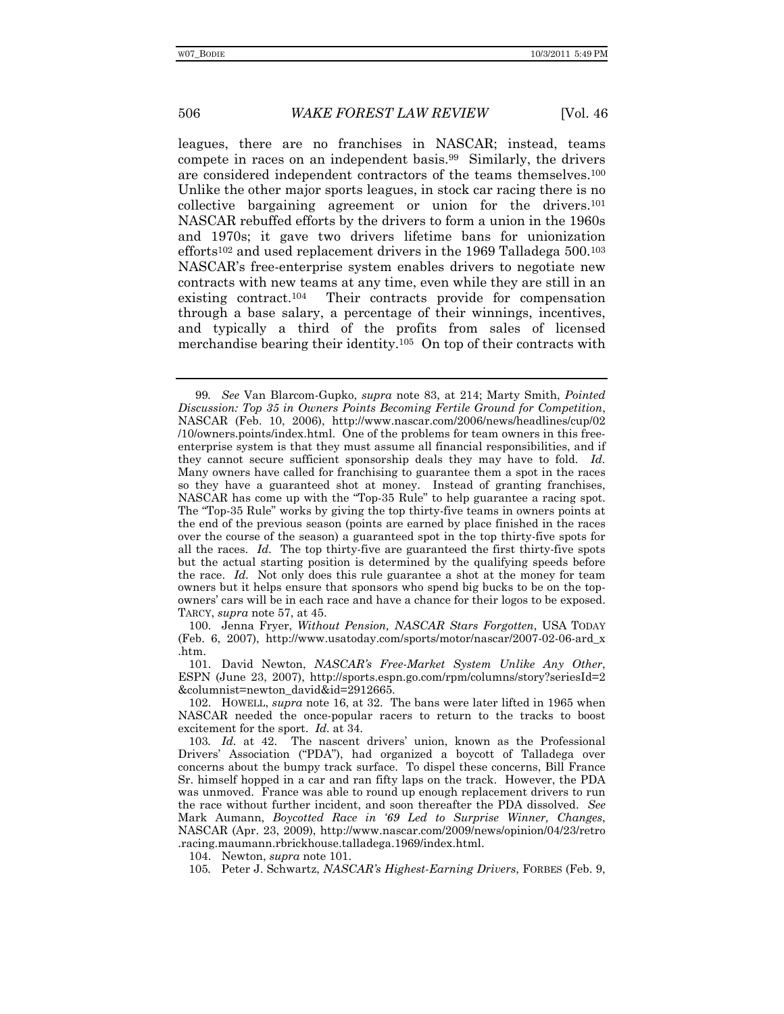leagues, there are no franchises in NASCAR; instead, teams compete in races on an independent basis.99 Similarly, the drivers are considered independent contractors of the teams themselves.100 Unlike the other major sports leagues, in stock car racing there is no collective bargaining agreement or union for the drivers.101 NASCAR rebuffed efforts by the drivers to form a union in the 1960s and 1970s; it gave two drivers lifetime bans for unionization efforts<sup>102</sup> and used replacement drivers in the 1969 Talladega 500.<sup>103</sup> NASCAR's free-enterprise system enables drivers to negotiate new contracts with new teams at any time, even while they are still in an existing contract.104 Their contracts provide for compensation through a base salary, a percentage of their winnings, incentives, and typically a third of the profits from sales of licensed merchandise bearing their identity.105 On top of their contracts with

 100. Jenna Fryer, *Without Pension, NASCAR Stars Forgotten*, USA TODAY (Feb. 6, 2007), http://www.usatoday.com/sports/motor/nascar/2007-02-06-ard\_x .htm.

 101. David Newton, *NASCAR's Free-Market System Unlike Any Other*, ESPN (June 23, 2007), http://sports.espn.go.com/rpm/columns/story?seriesId=2 &columnist=newton\_david&id=2912665.

 102. HOWELL, *supra* note 16, at 32. The bans were later lifted in 1965 when NASCAR needed the once-popular racers to return to the tracks to boost excitement for the sport. *Id.* at 34.

104. Newton, *supra* note 101.

<sup>99</sup>*. See* Van Blarcom-Gupko, *supra* note 83, at 214; Marty Smith, *Pointed Discussion: Top 35 in Owners Points Becoming Fertile Ground for Competition*, NASCAR (Feb. 10, 2006), http://www.nascar.com/2006/news/headlines/cup/02 /10/owners.points/index.html. One of the problems for team owners in this freeenterprise system is that they must assume all financial responsibilities, and if they cannot secure sufficient sponsorship deals they may have to fold. *Id.*  Many owners have called for franchising to guarantee them a spot in the races so they have a guaranteed shot at money. Instead of granting franchises, NASCAR has come up with the "Top-35 Rule" to help guarantee a racing spot. The "Top-35 Rule" works by giving the top thirty-five teams in owners points at the end of the previous season (points are earned by place finished in the races over the course of the season) a guaranteed spot in the top thirty-five spots for all the races. *Id.* The top thirty-five are guaranteed the first thirty-five spots but the actual starting position is determined by the qualifying speeds before the race. *Id.* Not only does this rule guarantee a shot at the money for team owners but it helps ensure that sponsors who spend big bucks to be on the topowners' cars will be in each race and have a chance for their logos to be exposed. TARCY, *supra* note 57, at 45.

<sup>103</sup>*. Id.* at 42. The nascent drivers' union, known as the Professional Drivers' Association ("PDA"), had organized a boycott of Talladega over concerns about the bumpy track surface. To dispel these concerns, Bill France Sr. himself hopped in a car and ran fifty laps on the track. However, the PDA was unmoved. France was able to round up enough replacement drivers to run the race without further incident, and soon thereafter the PDA dissolved. *See* Mark Aumann, *Boycotted Race in '69 Led to Surprise Winner, Changes*, NASCAR (Apr. 23, 2009), http://www.nascar.com/2009/news/opinion/04/23/retro .racing.maumann.rbrickhouse.talladega.1969/index.html.

<sup>105</sup>*.* Peter J. Schwartz, *NASCAR's Highest-Earning Drivers*, FORBES (Feb. 9,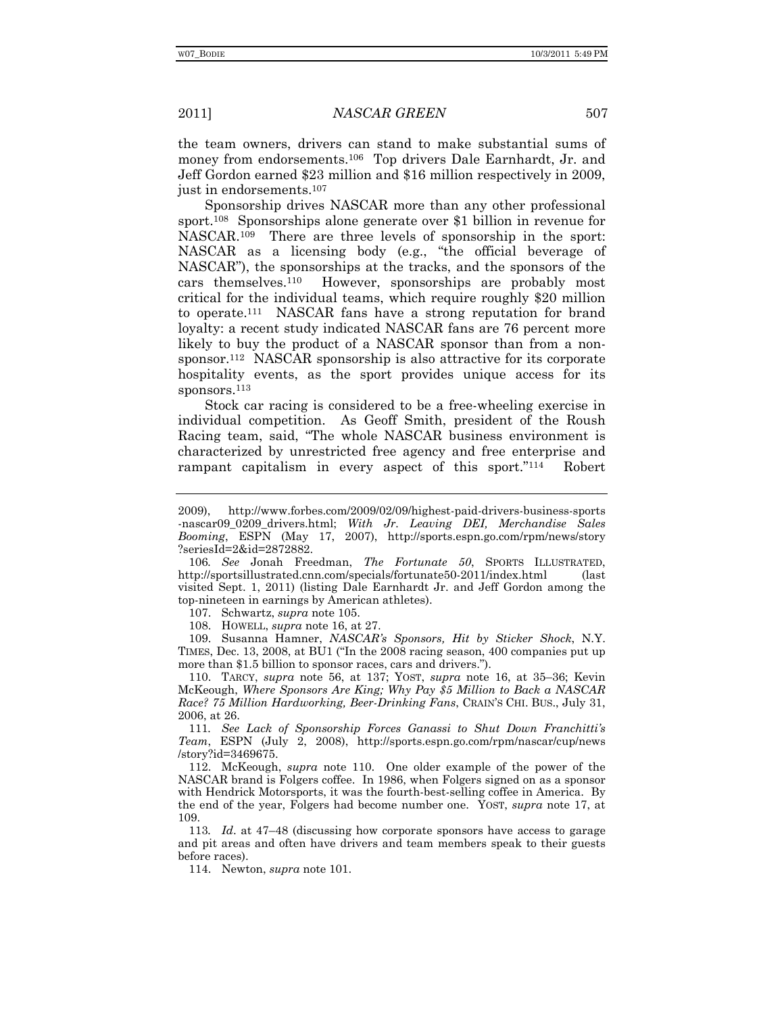the team owners, drivers can stand to make substantial sums of money from endorsements.106 Top drivers Dale Earnhardt, Jr. and Jeff Gordon earned \$23 million and \$16 million respectively in 2009, just in endorsements.107

Sponsorship drives NASCAR more than any other professional sport.108 Sponsorships alone generate over \$1 billion in revenue for NASCAR.109 There are three levels of sponsorship in the sport: NASCAR as a licensing body (e.g., "the official beverage of NASCAR"), the sponsorships at the tracks, and the sponsors of the cars themselves.110 However, sponsorships are probably most critical for the individual teams, which require roughly \$20 million to operate.111 NASCAR fans have a strong reputation for brand loyalty: a recent study indicated NASCAR fans are 76 percent more likely to buy the product of a NASCAR sponsor than from a nonsponsor.<sup>112</sup> NASCAR sponsorship is also attractive for its corporate hospitality events, as the sport provides unique access for its sponsors.113

Stock car racing is considered to be a free-wheeling exercise in individual competition. As Geoff Smith, president of the Roush Racing team, said, "The whole NASCAR business environment is characterized by unrestricted free agency and free enterprise and rampant capitalism in every aspect of this sport."114 Robert

107. Schwartz, *supra* note 105.

108. HOWELL, *supra* note 16, at 27.

 109. Susanna Hamner, *NASCAR's Sponsors, Hit by Sticker Shock*, N.Y. TIMES, Dec. 13, 2008, at BU1 ("In the 2008 racing season, 400 companies put up more than \$1.5 billion to sponsor races, cars and drivers.").

 110. TARCY, *supra* note 56, at 137; YOST, *supra* note 16, at 35–36; Kevin McKeough, *Where Sponsors Are King; Why Pay \$5 Million to Back a NASCAR Race? 75 Million Hardworking, Beer-Drinking Fans*, CRAIN'S CHI. BUS., July 31, 2006, at 26.

111*. See Lack of Sponsorship Forces Ganassi to Shut Down Franchitti's Team*, ESPN (July 2, 2008), http://sports.espn.go.com/rpm/nascar/cup/news /story?id=3469675.

 112. McKeough, *supra* note 110. One older example of the power of the NASCAR brand is Folgers coffee. In 1986, when Folgers signed on as a sponsor with Hendrick Motorsports, it was the fourth-best-selling coffee in America. By the end of the year, Folgers had become number one. YOST, *supra* note 17, at 109.

113*. Id*. at 47–48 (discussing how corporate sponsors have access to garage and pit areas and often have drivers and team members speak to their guests before races).

114. Newton, *supra* note 101.

<sup>2009),</sup> http://www.forbes.com/2009/02/09/highest-paid-drivers-business-sports -nascar09\_0209\_drivers.html; *With Jr. Leaving DEI, Merchandise Sales Booming*, ESPN (May 17, 2007), http://sports.espn.go.com/rpm/news/story ?seriesId=2&id=2872882.

<sup>106</sup>*. See* Jonah Freedman, *The Fortunate 50*, SPORTS ILLUSTRATED, http://sportsillustrated.cnn.com/specials/fortunate50-2011/index.html (last visited Sept. 1, 2011) (listing Dale Earnhardt Jr. and Jeff Gordon among the top-nineteen in earnings by American athletes).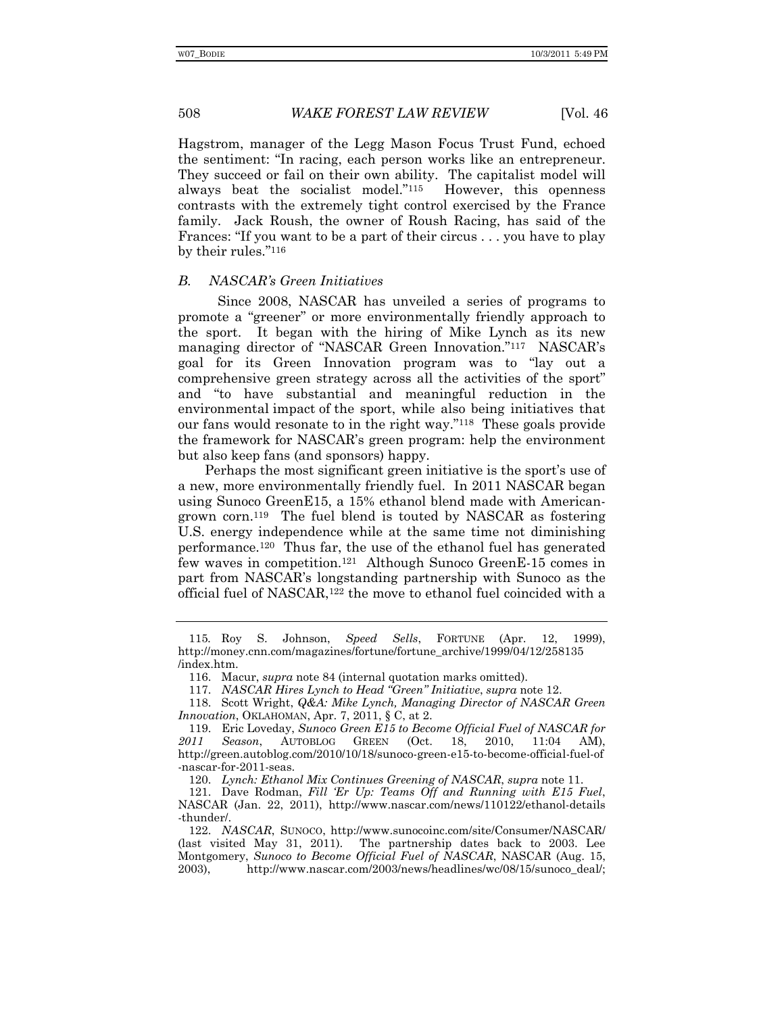Hagstrom, manager of the Legg Mason Focus Trust Fund, echoed the sentiment: "In racing, each person works like an entrepreneur. They succeed or fail on their own ability. The capitalist model will always beat the socialist model."115 However, this openness contrasts with the extremely tight control exercised by the France family. Jack Roush, the owner of Roush Racing, has said of the Frances: "If you want to be a part of their circus . . . you have to play by their rules."116

## *B. NASCAR's Green Initiatives*

 Since 2008, NASCAR has unveiled a series of programs to promote a "greener" or more environmentally friendly approach to the sport. It began with the hiring of Mike Lynch as its new managing director of "NASCAR Green Innovation."117 NASCAR's goal for its Green Innovation program was to "lay out a comprehensive green strategy across all the activities of the sport" and "to have substantial and meaningful reduction in the environmental impact of the sport, while also being initiatives that our fans would resonate to in the right way."118 These goals provide the framework for NASCAR's green program: help the environment but also keep fans (and sponsors) happy.

Perhaps the most significant green initiative is the sport's use of a new, more environmentally friendly fuel. In 2011 NASCAR began using Sunoco GreenE15, a 15% ethanol blend made with Americangrown corn.119 The fuel blend is touted by NASCAR as fostering U.S. energy independence while at the same time not diminishing performance.120 Thus far, the use of the ethanol fuel has generated few waves in competition.121 Although Sunoco GreenE-15 comes in part from NASCAR's longstanding partnership with Sunoco as the official fuel of NASCAR,122 the move to ethanol fuel coincided with a

120. *Lynch: Ethanol Mix Continues Greening of NASCAR*, *supra* note 11.

<sup>115</sup>*.* Roy S. Johnson, *Speed Sells*, FORTUNE (Apr. 12, 1999), http://money.cnn.com/magazines/fortune/fortune\_archive/1999/04/12/258135 /index.htm.

 <sup>116.</sup> Macur, *supra* note 84 (internal quotation marks omitted).

 <sup>117.</sup> *NASCAR Hires Lynch to Head "Green" Initiative*, *supra* note 12.

 <sup>118.</sup> Scott Wright, *Q&A: Mike Lynch, Managing Director of NASCAR Green Innovation*, OKLAHOMAN, Apr. 7, 2011, § C, at 2.

 <sup>119.</sup> Eric Loveday, *Sunoco Green E15 to Become Official Fuel of NASCAR for 2011 Season*, AUTOBLOG GREEN (Oct. 18, 2010, 11:04 AM), http://green.autoblog.com/2010/10/18/sunoco-green-e15-to-become-official-fuel-of -nascar-for-2011-seas.

 <sup>121.</sup> Dave Rodman, *Fill 'Er Up: Teams Off and Running with E15 Fuel*, NASCAR (Jan. 22, 2011), http://www.nascar.com/news/110122/ethanol-details -thunder/.

 <sup>122.</sup> *NASCAR*, SUNOCO, http://www.sunocoinc.com/site/Consumer/NASCAR/ (last visited May 31, 2011). The partnership dates back to 2003. Lee Montgomery, *Sunoco to Become Official Fuel of NASCAR*, NASCAR (Aug. 15, 2003), http://www.nascar.com/2003/news/headlines/wc/08/15/sunoco\_deal/;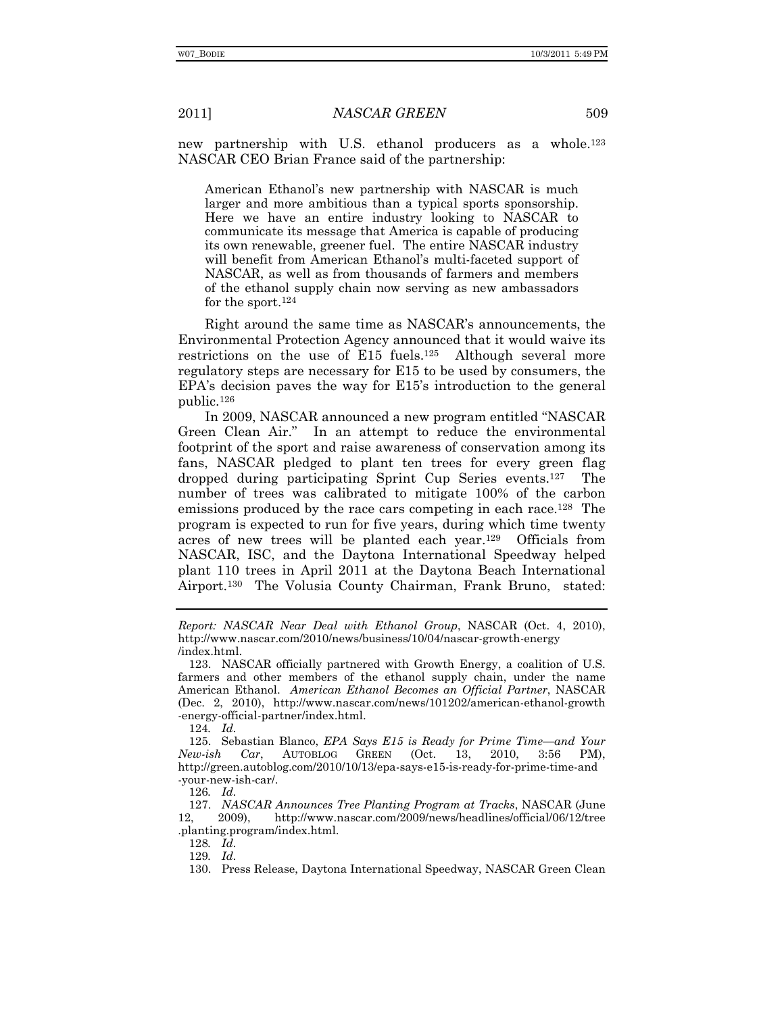new partnership with U.S. ethanol producers as a whole.123 NASCAR CEO Brian France said of the partnership:

American Ethanol's new partnership with NASCAR is much larger and more ambitious than a typical sports sponsorship. Here we have an entire industry looking to NASCAR to communicate its message that America is capable of producing its own renewable, greener fuel. The entire NASCAR industry will benefit from American Ethanol's multi-faceted support of NASCAR, as well as from thousands of farmers and members of the ethanol supply chain now serving as new ambassadors for the sport.124

Right around the same time as NASCAR's announcements, the Environmental Protection Agency announced that it would waive its restrictions on the use of E15 fuels.125 Although several more regulatory steps are necessary for E15 to be used by consumers, the EPA's decision paves the way for E15's introduction to the general public.126

In 2009, NASCAR announced a new program entitled "NASCAR Green Clean Air." In an attempt to reduce the environmental footprint of the sport and raise awareness of conservation among its fans, NASCAR pledged to plant ten trees for every green flag dropped during participating Sprint Cup Series events.127 The number of trees was calibrated to mitigate 100% of the carbon emissions produced by the race cars competing in each race.128 The program is expected to run for five years, during which time twenty acres of new trees will be planted each year.129 Officials from NASCAR, ISC, and the Daytona International Speedway helped plant 110 trees in April 2011 at the Daytona Beach International Airport.130 The Volusia County Chairman, Frank Bruno, stated:

124*. Id.*

126*. Id.*

128*. Id.*

129*. Id.*

*Report: NASCAR Near Deal with Ethanol Group*, NASCAR (Oct. 4, 2010), http://www.nascar.com/2010/news/business/10/04/nascar-growth-energy /index.html.

 <sup>123.</sup> NASCAR officially partnered with Growth Energy, a coalition of U.S. farmers and other members of the ethanol supply chain, under the name American Ethanol. *American Ethanol Becomes an Official Partner*, NASCAR (Dec. 2, 2010), http://www.nascar.com/news/101202/american-ethanol-growth -energy-official-partner/index.html.

 <sup>125.</sup> Sebastian Blanco, *EPA Says E15 is Ready for Prime Time—and Your New-ish Car*, AUTOBLOG GREEN (Oct. 13, 2010, 3:56 PM), http://green.autoblog.com/2010/10/13/epa-says-e15-is-ready-for-prime-time-and -your-new-ish-car/.

 <sup>127.</sup> *NASCAR Announces Tree Planting Program at Tracks*, NASCAR (June 12, 2009), http://www.nascar.com/2009/news/headlines/official/06/12/tree .planting.program/index.html.

 <sup>130.</sup> Press Release, Daytona International Speedway, NASCAR Green Clean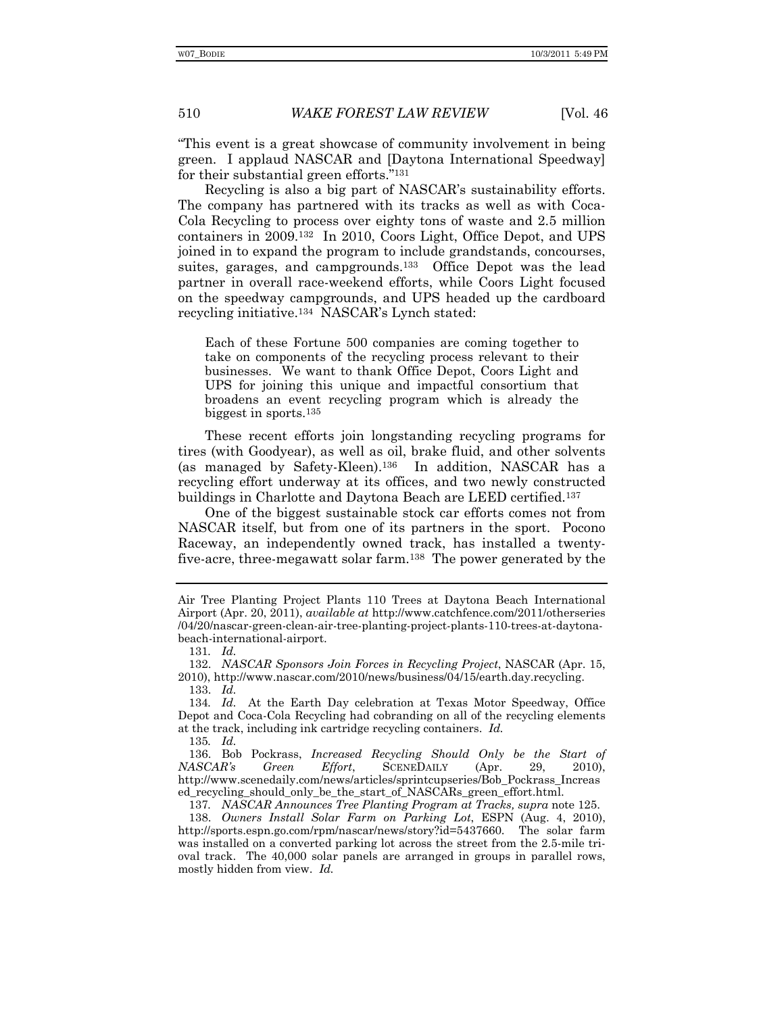"This event is a great showcase of community involvement in being green. I applaud NASCAR and [Daytona International Speedway] for their substantial green efforts."131

Recycling is also a big part of NASCAR's sustainability efforts. The company has partnered with its tracks as well as with Coca-Cola Recycling to process over eighty tons of waste and 2.5 million containers in 2009.132 In 2010, Coors Light, Office Depot, and UPS joined in to expand the program to include grandstands, concourses, suites, garages, and campgrounds.<sup>133</sup> Office Depot was the lead partner in overall race-weekend efforts, while Coors Light focused on the speedway campgrounds, and UPS headed up the cardboard recycling initiative.134 NASCAR's Lynch stated:

Each of these Fortune 500 companies are coming together to take on components of the recycling process relevant to their businesses. We want to thank Office Depot, Coors Light and UPS for joining this unique and impactful consortium that broadens an event recycling program which is already the biggest in sports.135

These recent efforts join longstanding recycling programs for tires (with Goodyear), as well as oil, brake fluid, and other solvents (as managed by Safety-Kleen).136 In addition, NASCAR has a recycling effort underway at its offices, and two newly constructed buildings in Charlotte and Daytona Beach are LEED certified.137

One of the biggest sustainable stock car efforts comes not from NASCAR itself, but from one of its partners in the sport. Pocono Raceway, an independently owned track, has installed a twentyfive-acre, three-megawatt solar farm.138 The power generated by the

135*. Id.*

 136. Bob Pockrass, *Increased Recycling Should Only be the Start of NASCAR's Green Effort*, SCENEDAILY (Apr. 29, 2010), http://www.scenedaily.com/news/articles/sprintcupseries/Bob\_Pockrass\_Increas ed\_recycling\_should\_only\_be\_the\_start\_of\_NASCARs\_green\_effort.html.

137*. NASCAR Announces Tree Planting Program at Tracks, supra* note 125.

 138. *Owners Install Solar Farm on Parking Lot*, ESPN (Aug. 4, 2010), http://sports.espn.go.com/rpm/nascar/news/story?id=5437660. The solar farm was installed on a converted parking lot across the street from the 2.5-mile trioval track. The 40,000 solar panels are arranged in groups in parallel rows, mostly hidden from view. *Id.* 

Air Tree Planting Project Plants 110 Trees at Daytona Beach International Airport (Apr. 20, 2011), *available at* http://www.catchfence.com/2011/otherseries /04/20/nascar-green-clean-air-tree-planting-project-plants-110-trees-at-daytonabeach-international-airport.

<sup>131</sup>*. Id.*

 <sup>132.</sup> *NASCAR Sponsors Join Forces in Recycling Project*, NASCAR (Apr. 15, 2010), http://www.nascar.com/2010/news/business/04/15/earth.day.recycling.

 <sup>133.</sup> *Id.*

<sup>134</sup>*. Id.* At the Earth Day celebration at Texas Motor Speedway, Office Depot and Coca-Cola Recycling had cobranding on all of the recycling elements at the track, including ink cartridge recycling containers. *Id.*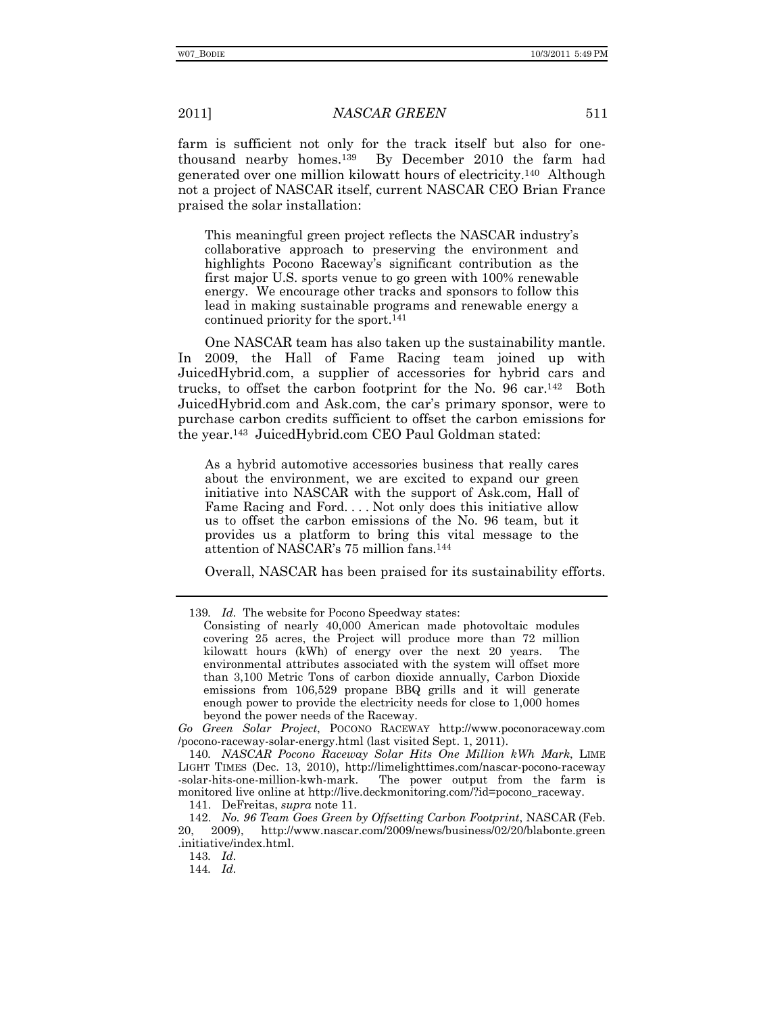farm is sufficient not only for the track itself but also for onethousand nearby homes.139 By December 2010 the farm had generated over one million kilowatt hours of electricity.140 Although not a project of NASCAR itself, current NASCAR CEO Brian France praised the solar installation:

This meaningful green project reflects the NASCAR industry's collaborative approach to preserving the environment and highlights Pocono Raceway's significant contribution as the first major U.S. sports venue to go green with 100% renewable energy. We encourage other tracks and sponsors to follow this lead in making sustainable programs and renewable energy a continued priority for the sport.141

One NASCAR team has also taken up the sustainability mantle. In 2009, the Hall of Fame Racing team joined up with JuicedHybrid.com, a supplier of accessories for hybrid cars and trucks, to offset the carbon footprint for the No. 96 car.<sup>142</sup> Both JuicedHybrid.com and Ask.com, the car's primary sponsor, were to purchase carbon credits sufficient to offset the carbon emissions for the year.143 JuicedHybrid.com CEO Paul Goldman stated:

As a hybrid automotive accessories business that really cares about the environment, we are excited to expand our green initiative into NASCAR with the support of Ask.com, Hall of Fame Racing and Ford. . . . Not only does this initiative allow us to offset the carbon emissions of the No. 96 team, but it provides us a platform to bring this vital message to the attention of NASCAR's 75 million fans.144

Overall, NASCAR has been praised for its sustainability efforts.

*Go Green Solar Project*, POCONO RACEWAY http://www.poconoraceway.com /pocono-raceway-solar-energy.html (last visited Sept. 1, 2011).

140*. NASCAR Pocono Raceway Solar Hits One Million kWh Mark*, LIME LIGHT TIMES (Dec. 13, 2010), http://limelighttimes.com/nascar-pocono-raceway -solar-hits-one-million-kwh-mark. The power output from the farm is monitored live online at http://live.deckmonitoring.com/?id=pocono\_raceway.

141. DeFreitas, *supra* note 11.

143*. Id.*

144*. Id.*

<sup>139</sup>*. Id.* The website for Pocono Speedway states:

Consisting of nearly 40,000 American made photovoltaic modules covering 25 acres, the Project will produce more than 72 million kilowatt hours (kWh) of energy over the next 20 years. The environmental attributes associated with the system will offset more than 3,100 Metric Tons of carbon dioxide annually, Carbon Dioxide emissions from 106,529 propane BBQ grills and it will generate enough power to provide the electricity needs for close to 1,000 homes beyond the power needs of the Raceway.

 <sup>142.</sup> *No. 96 Team Goes Green by Offsetting Carbon Footprint*, NASCAR (Feb. 20, 2009), http://www.nascar.com/2009/news/business/02/20/blabonte.green .initiative/index.html.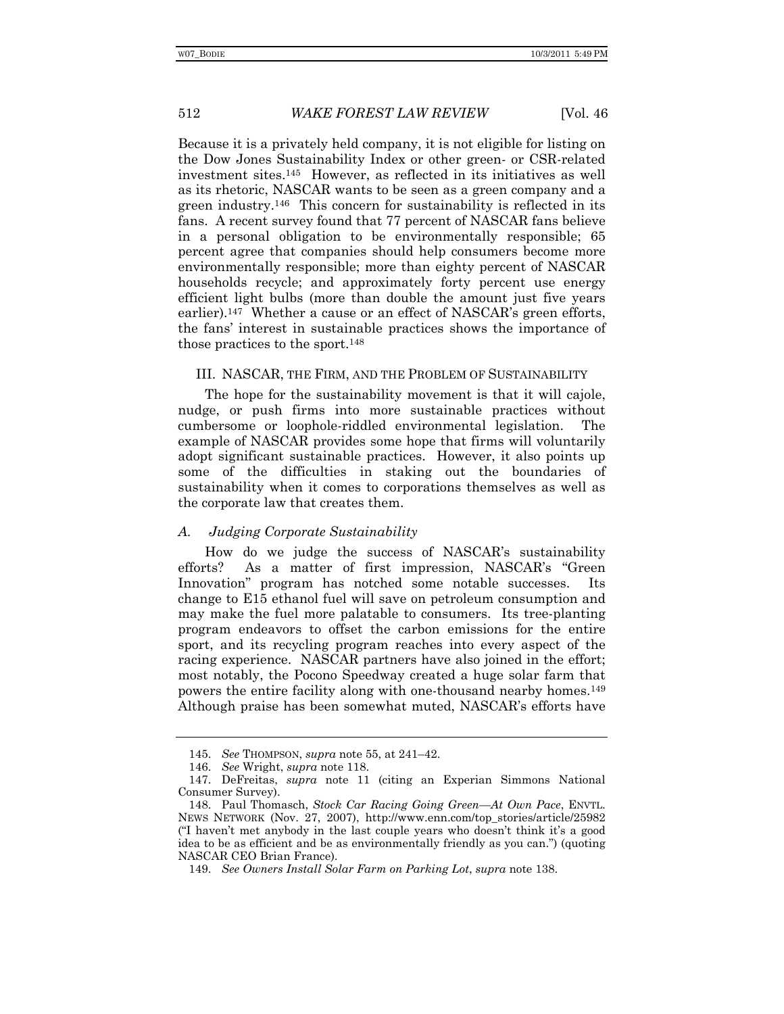Because it is a privately held company, it is not eligible for listing on the Dow Jones Sustainability Index or other green- or CSR-related investment sites.145 However, as reflected in its initiatives as well as its rhetoric, NASCAR wants to be seen as a green company and a green industry.146 This concern for sustainability is reflected in its fans. A recent survey found that 77 percent of NASCAR fans believe in a personal obligation to be environmentally responsible; 65 percent agree that companies should help consumers become more environmentally responsible; more than eighty percent of NASCAR households recycle; and approximately forty percent use energy efficient light bulbs (more than double the amount just five years earlier).<sup>147</sup> Whether a cause or an effect of NASCAR's green efforts, the fans' interest in sustainable practices shows the importance of those practices to the sport.148

#### III. NASCAR, THE FIRM, AND THE PROBLEM OF SUSTAINABILITY

The hope for the sustainability movement is that it will cajole, nudge, or push firms into more sustainable practices without cumbersome or loophole-riddled environmental legislation. The example of NASCAR provides some hope that firms will voluntarily adopt significant sustainable practices. However, it also points up some of the difficulties in staking out the boundaries of sustainability when it comes to corporations themselves as well as the corporate law that creates them.

#### *A. Judging Corporate Sustainability*

How do we judge the success of NASCAR's sustainability efforts? As a matter of first impression, NASCAR's "Green Innovation" program has notched some notable successes. Its change to E15 ethanol fuel will save on petroleum consumption and may make the fuel more palatable to consumers. Its tree-planting program endeavors to offset the carbon emissions for the entire sport, and its recycling program reaches into every aspect of the racing experience. NASCAR partners have also joined in the effort; most notably, the Pocono Speedway created a huge solar farm that powers the entire facility along with one-thousand nearby homes.149 Although praise has been somewhat muted, NASCAR's efforts have

 <sup>145.</sup> *See* THOMPSON, *supra* note 55, at 241–42.

 <sup>146.</sup> *See* Wright, *supra* note 118.

 <sup>147.</sup> DeFreitas, *supra* note 11 (citing an Experian Simmons National Consumer Survey).

 <sup>148.</sup> Paul Thomasch, *Stock Car Racing Going Green—At Own Pace*, ENVTL. NEWS NETWORK (Nov. 27, 2007), http://www.enn.com/top\_stories/article/25982 ("I haven't met anybody in the last couple years who doesn't think it's a good idea to be as efficient and be as environmentally friendly as you can.") (quoting NASCAR CEO Brian France).

 <sup>149.</sup> *See Owners Install Solar Farm on Parking Lot*, *supra* note 138.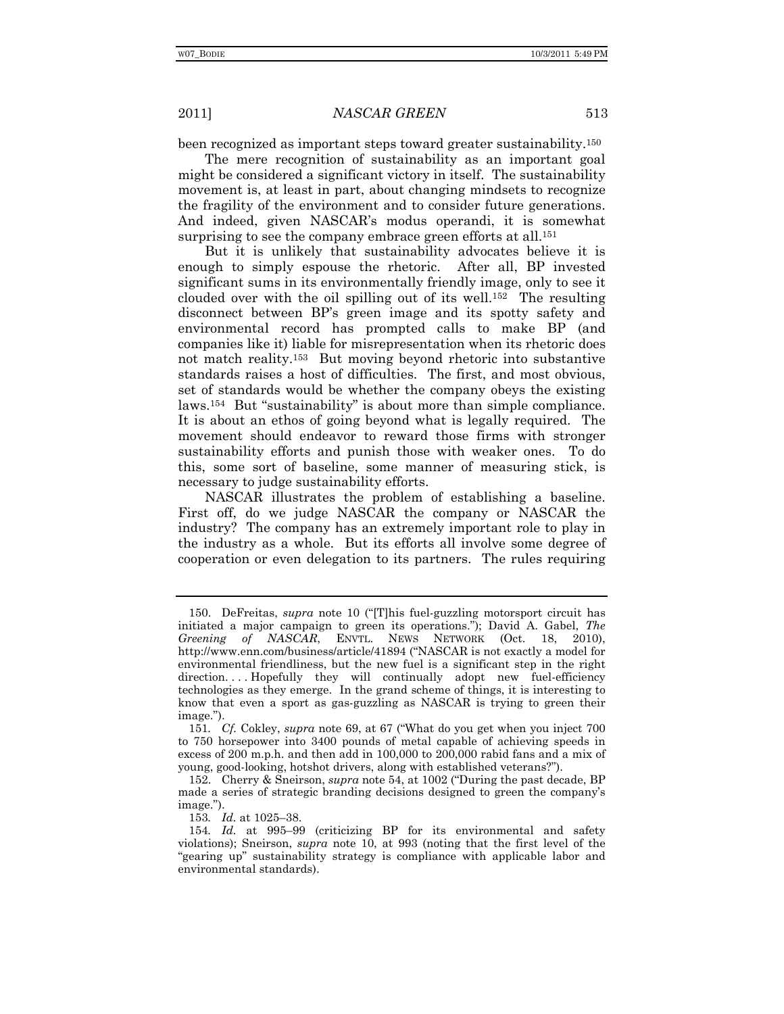been recognized as important steps toward greater sustainability.150

The mere recognition of sustainability as an important goal might be considered a significant victory in itself. The sustainability movement is, at least in part, about changing mindsets to recognize the fragility of the environment and to consider future generations. And indeed, given NASCAR's modus operandi, it is somewhat surprising to see the company embrace green efforts at all.<sup>151</sup>

But it is unlikely that sustainability advocates believe it is enough to simply espouse the rhetoric. After all, BP invested significant sums in its environmentally friendly image, only to see it clouded over with the oil spilling out of its well.152 The resulting disconnect between BP's green image and its spotty safety and environmental record has prompted calls to make BP (and companies like it) liable for misrepresentation when its rhetoric does not match reality.153 But moving beyond rhetoric into substantive standards raises a host of difficulties. The first, and most obvious, set of standards would be whether the company obeys the existing laws.154 But "sustainability" is about more than simple compliance. It is about an ethos of going beyond what is legally required. The movement should endeavor to reward those firms with stronger sustainability efforts and punish those with weaker ones. To do this, some sort of baseline, some manner of measuring stick, is necessary to judge sustainability efforts.

NASCAR illustrates the problem of establishing a baseline. First off, do we judge NASCAR the company or NASCAR the industry? The company has an extremely important role to play in the industry as a whole. But its efforts all involve some degree of cooperation or even delegation to its partners. The rules requiring

 <sup>150.</sup> DeFreitas, *supra* note 10 ("[T]his fuel-guzzling motorsport circuit has initiated a major campaign to green its operations."); David A. Gabel, *The Greening of NASCAR*, ENVTL. NEWS NETWORK (Oct. 18, 2010), http://www.enn.com/business/article/41894 ("NASCAR is not exactly a model for environmental friendliness, but the new fuel is a significant step in the right direction.... Hopefully they will continually adopt new fuel-efficiency technologies as they emerge. In the grand scheme of things, it is interesting to know that even a sport as gas-guzzling as NASCAR is trying to green their image.").

<sup>151</sup>*. Cf.* Cokley, *supra* note 69, at 67 ("What do you get when you inject 700 to 750 horsepower into 3400 pounds of metal capable of achieving speeds in excess of 200 m.p.h. and then add in 100,000 to 200,000 rabid fans and a mix of young, good-looking, hotshot drivers, along with established veterans?").

 <sup>152.</sup> Cherry & Sneirson, *supra* note 54, at 1002 ("During the past decade, BP made a series of strategic branding decisions designed to green the company's image.").

<sup>153</sup>*. Id.* at 1025–38.

<sup>154</sup>*. Id.* at 995–99 (criticizing BP for its environmental and safety violations); Sneirson, *supra* note 10, at 993 (noting that the first level of the "gearing up" sustainability strategy is compliance with applicable labor and environmental standards).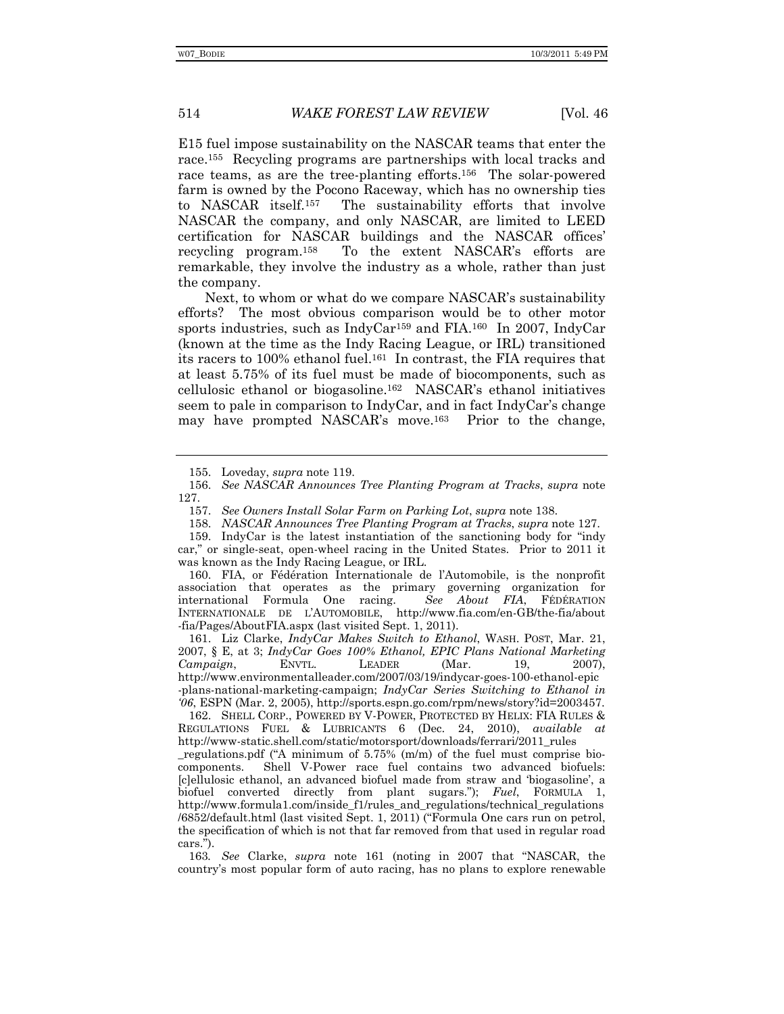E15 fuel impose sustainability on the NASCAR teams that enter the race.155 Recycling programs are partnerships with local tracks and race teams, as are the tree-planting efforts.156 The solar-powered farm is owned by the Pocono Raceway, which has no ownership ties to NASCAR itself.157 The sustainability efforts that involve NASCAR the company, and only NASCAR, are limited to LEED certification for NASCAR buildings and the NASCAR offices' recycling program.158 To the extent NASCAR's efforts are remarkable, they involve the industry as a whole, rather than just the company.

Next, to whom or what do we compare NASCAR's sustainability efforts? The most obvious comparison would be to other motor sports industries, such as IndyCar159 and FIA.160 In 2007, IndyCar (known at the time as the Indy Racing League, or IRL) transitioned its racers to 100% ethanol fuel.161 In contrast, the FIA requires that at least 5.75% of its fuel must be made of biocomponents, such as cellulosic ethanol or biogasoline.162 NASCAR's ethanol initiatives seem to pale in comparison to IndyCar, and in fact IndyCar's change may have prompted NASCAR's move.163 Prior to the change,

 160. FIA, or Fédération Internationale de l'Automobile, is the nonprofit association that operates as the primary governing organization for international Formula One racing. *See About FIA*, FÉDÉRATION INTERNATIONALE DE L'AUTOMOBILE, http://www.fia.com/en-GB/the-fia/about -fia/Pages/AboutFIA.aspx (last visited Sept. 1, 2011).

 161. Liz Clarke, *IndyCar Makes Switch to Ethanol*, WASH. POST, Mar. 21, 2007, § E, at 3; *IndyCar Goes 100% Ethanol, EPIC Plans National Marketing Campaign*, ENVTL. LEADER (Mar. 19, 2007), http://www.environmentalleader.com/2007/03/19/indycar-goes-100-ethanol-epic -plans-national-marketing-campaign; *IndyCar Series Switching to Ethanol in '06*, ESPN (Mar. 2, 2005), http://sports.espn.go.com/rpm/news/story?id=2003457.

 162. SHELL CORP., POWERED BY V-POWER, PROTECTED BY HELIX: FIA RULES & REGULATIONS FUEL & LUBRICANTS 6 (Dec. 24, 2010), *available at* http://www-static.shell.com/static/motorsport/downloads/ferrari/2011\_rules \_regulations.pdf ("A minimum of 5.75% (m/m) of the fuel must comprise biocomponents. Shell V-Power race fuel contains two advanced biofuels: [c]ellulosic ethanol, an advanced biofuel made from straw and 'biogasoline', a biofuel converted directly from plant sugars."); *Fuel*, FORMULA 1, http://www.formula1.com/inside\_f1/rules\_and\_regulations/technical\_regulations /6852/default.html (last visited Sept. 1, 2011) ("Formula One cars run on petrol, the specification of which is not that far removed from that used in regular road cars.").

163*. See* Clarke, *supra* note 161 (noting in 2007 that "NASCAR, the country's most popular form of auto racing, has no plans to explore renewable

 <sup>155.</sup> Loveday, *supra* note 119.

 <sup>156.</sup> *See NASCAR Announces Tree Planting Program at Tracks*, *supra* note 127.

 <sup>157.</sup> *See Owners Install Solar Farm on Parking Lot*, *supra* note 138.

 <sup>158.</sup> *NASCAR Announces Tree Planting Program at Tracks*, *supra* note 127.

 <sup>159.</sup> IndyCar is the latest instantiation of the sanctioning body for "indy car," or single-seat, open-wheel racing in the United States. Prior to 2011 it was known as the Indy Racing League, or IRL.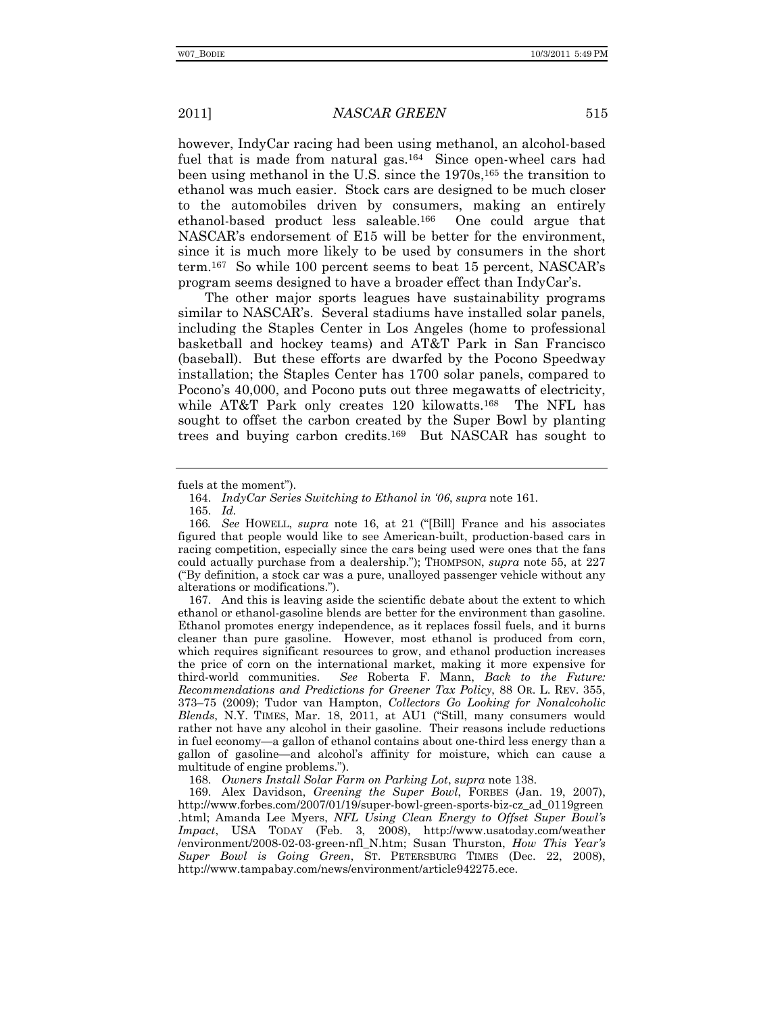however, IndyCar racing had been using methanol, an alcohol-based fuel that is made from natural gas.164 Since open-wheel cars had been using methanol in the U.S. since the 1970s,<sup>165</sup> the transition to ethanol was much easier. Stock cars are designed to be much closer to the automobiles driven by consumers, making an entirely ethanol-based product less saleable.166 One could argue that NASCAR's endorsement of E15 will be better for the environment, since it is much more likely to be used by consumers in the short term.167 So while 100 percent seems to beat 15 percent, NASCAR's program seems designed to have a broader effect than IndyCar's.

The other major sports leagues have sustainability programs similar to NASCAR's. Several stadiums have installed solar panels, including the Staples Center in Los Angeles (home to professional basketball and hockey teams) and AT&T Park in San Francisco (baseball). But these efforts are dwarfed by the Pocono Speedway installation; the Staples Center has 1700 solar panels, compared to Pocono's 40,000, and Pocono puts out three megawatts of electricity, while AT&T Park only creates 120 kilowatts.<sup>168</sup> The NFL has sought to offset the carbon created by the Super Bowl by planting trees and buying carbon credits.169 But NASCAR has sought to

 167. And this is leaving aside the scientific debate about the extent to which ethanol or ethanol-gasoline blends are better for the environment than gasoline. Ethanol promotes energy independence, as it replaces fossil fuels, and it burns cleaner than pure gasoline. However, most ethanol is produced from corn, which requires significant resources to grow, and ethanol production increases the price of corn on the international market, making it more expensive for third-world communities. *See* Roberta F. Mann, *Back to the Future: Recommendations and Predictions for Greener Tax Policy*, 88 OR. L. REV. 355, 373–75 (2009); Tudor van Hampton, *Collectors Go Looking for Nonalcoholic Blends*, N.Y. TIMES, Mar. 18, 2011, at AU1 ("Still, many consumers would rather not have any alcohol in their gasoline. Their reasons include reductions in fuel economy—a gallon of ethanol contains about one-third less energy than a gallon of gasoline—and alcohol's affinity for moisture, which can cause a multitude of engine problems.").

168. *Owners Install Solar Farm on Parking Lot*, *supra* note 138.

 169. Alex Davidson, *Greening the Super Bowl*, FORBES (Jan. 19, 2007), http://www.forbes.com/2007/01/19/super-bowl-green-sports-biz-cz\_ad\_0119green .html; Amanda Lee Myers, *NFL Using Clean Energy to Offset Super Bowl's Impact*, USA TODAY (Feb. 3, 2008), http://www.usatoday.com/weather /environment/2008-02-03-green-nfl\_N.htm; Susan Thurston, *How This Year's Super Bowl is Going Green*, ST. PETERSBURG TIMES (Dec. 22, 2008), http://www.tampabay.com/news/environment/article942275.ece.

fuels at the moment").

 <sup>164.</sup> *IndyCar Series Switching to Ethanol in '06*, *supra* note 161.

 <sup>165.</sup> *Id.*

<sup>166</sup>*. See* HOWELL, *supra* note 16, at 21 ("[Bill] France and his associates figured that people would like to see American-built, production-based cars in racing competition, especially since the cars being used were ones that the fans could actually purchase from a dealership."); THOMPSON, *supra* note 55, at 227 ("By definition, a stock car was a pure, unalloyed passenger vehicle without any alterations or modifications.").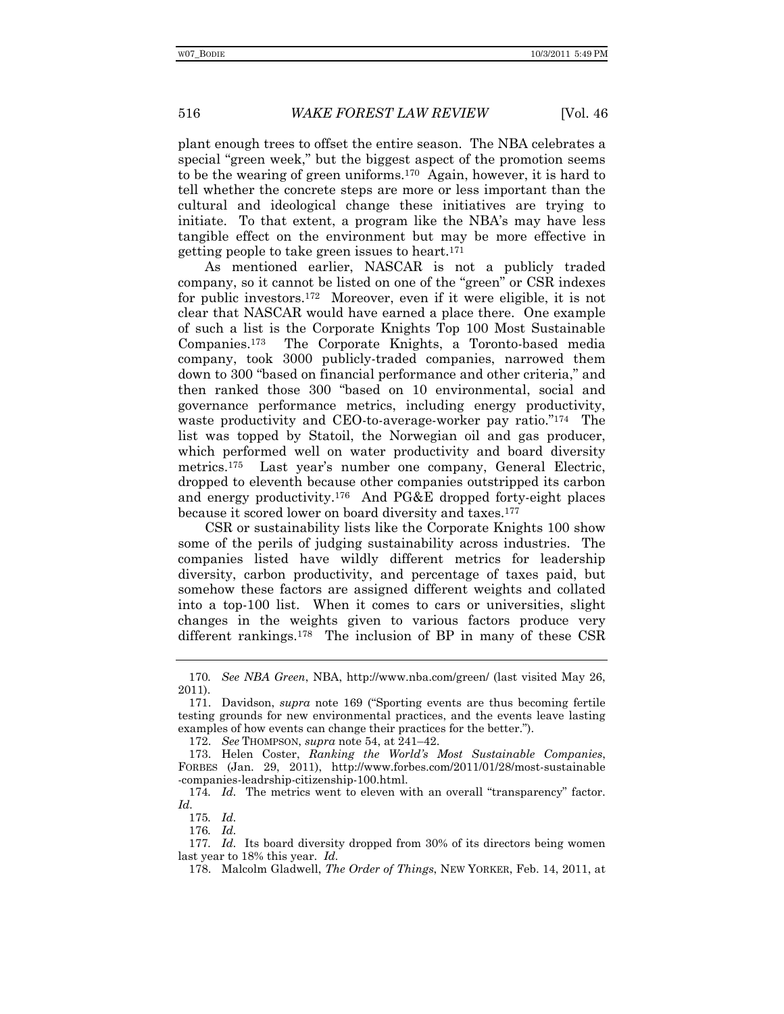plant enough trees to offset the entire season. The NBA celebrates a special "green week," but the biggest aspect of the promotion seems to be the wearing of green uniforms.170 Again, however, it is hard to tell whether the concrete steps are more or less important than the cultural and ideological change these initiatives are trying to initiate. To that extent, a program like the NBA's may have less tangible effect on the environment but may be more effective in getting people to take green issues to heart.171

As mentioned earlier, NASCAR is not a publicly traded company, so it cannot be listed on one of the "green" or CSR indexes for public investors.172 Moreover, even if it were eligible, it is not clear that NASCAR would have earned a place there. One example of such a list is the Corporate Knights Top 100 Most Sustainable Companies.173 The Corporate Knights, a Toronto-based media company, took 3000 publicly-traded companies, narrowed them down to 300 "based on financial performance and other criteria," and then ranked those 300 "based on 10 environmental, social and governance performance metrics, including energy productivity, waste productivity and CEO-to-average-worker pay ratio."174 The list was topped by Statoil, the Norwegian oil and gas producer, which performed well on water productivity and board diversity metrics.175 Last year's number one company, General Electric, dropped to eleventh because other companies outstripped its carbon and energy productivity.176 And PG&E dropped forty-eight places because it scored lower on board diversity and taxes.177

CSR or sustainability lists like the Corporate Knights 100 show some of the perils of judging sustainability across industries. The companies listed have wildly different metrics for leadership diversity, carbon productivity, and percentage of taxes paid, but somehow these factors are assigned different weights and collated into a top-100 list. When it comes to cars or universities, slight changes in the weights given to various factors produce very different rankings.178 The inclusion of BP in many of these CSR

172. *See* THOMPSON, *supra* note 54, at 241–42.

175*. Id.*

176*. Id.*

<sup>170</sup>*. See NBA Green*, NBA, http://www.nba.com/green/ (last visited May 26, 2011).

 <sup>171.</sup> Davidson, *supra* note 169 ("Sporting events are thus becoming fertile testing grounds for new environmental practices, and the events leave lasting examples of how events can change their practices for the better.").

 <sup>173.</sup> Helen Coster, *Ranking the World's Most Sustainable Companies*, FORBES (Jan. 29, 2011), http://www.forbes.com/2011/01/28/most-sustainable -companies-leadrship-citizenship-100.html.

<sup>174</sup>*. Id.* The metrics went to eleven with an overall "transparency" factor. *Id.* 

<sup>177</sup>*. Id.* Its board diversity dropped from 30% of its directors being women last year to 18% this year. *Id.* 

 <sup>178.</sup> Malcolm Gladwell, *The Order of Things*, NEW YORKER, Feb. 14, 2011, at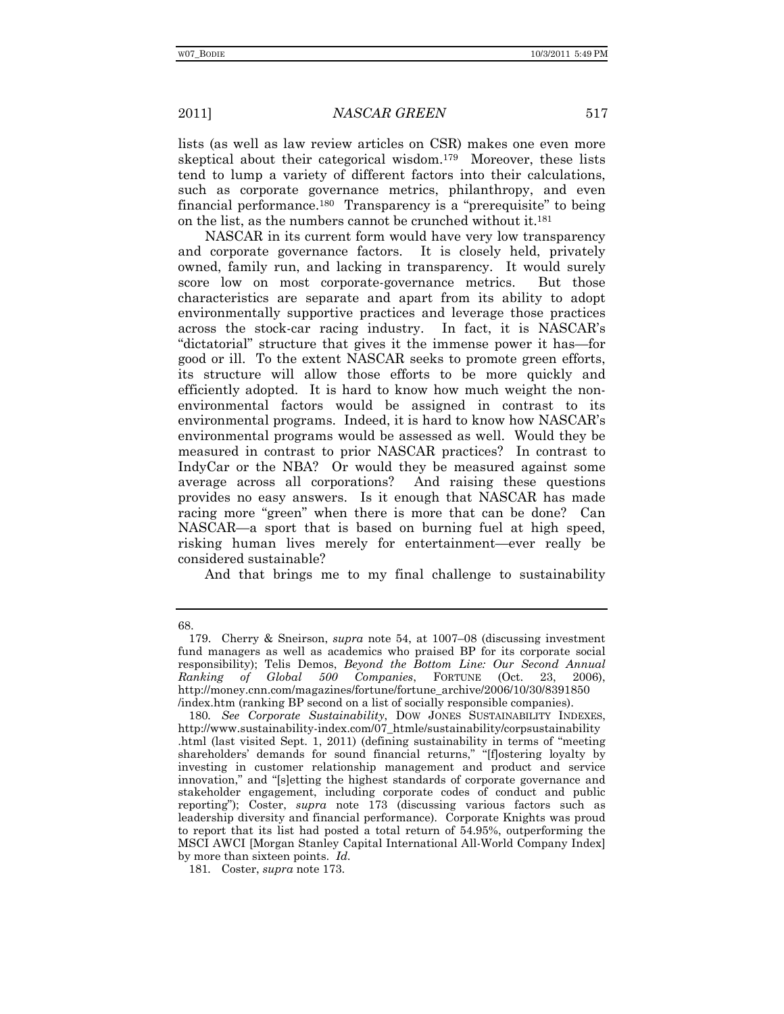lists (as well as law review articles on CSR) makes one even more skeptical about their categorical wisdom.179 Moreover, these lists tend to lump a variety of different factors into their calculations, such as corporate governance metrics, philanthropy, and even financial performance.180 Transparency is a "prerequisite" to being on the list, as the numbers cannot be crunched without it.181

NASCAR in its current form would have very low transparency and corporate governance factors. It is closely held, privately owned, family run, and lacking in transparency. It would surely score low on most corporate-governance metrics. But those characteristics are separate and apart from its ability to adopt environmentally supportive practices and leverage those practices across the stock-car racing industry. In fact, it is NASCAR's "dictatorial" structure that gives it the immense power it has—for good or ill. To the extent NASCAR seeks to promote green efforts, its structure will allow those efforts to be more quickly and efficiently adopted. It is hard to know how much weight the nonenvironmental factors would be assigned in contrast to its environmental programs. Indeed, it is hard to know how NASCAR's environmental programs would be assessed as well. Would they be measured in contrast to prior NASCAR practices? In contrast to IndyCar or the NBA? Or would they be measured against some average across all corporations? And raising these questions provides no easy answers. Is it enough that NASCAR has made racing more "green" when there is more that can be done? Can NASCAR—a sport that is based on burning fuel at high speed, risking human lives merely for entertainment—ever really be considered sustainable?

And that brings me to my final challenge to sustainability

<sup>68.</sup> 

 <sup>179.</sup> Cherry & Sneirson, *supra* note 54, at 1007–08 (discussing investment fund managers as well as academics who praised BP for its corporate social responsibility); Telis Demos, *Beyond the Bottom Line: Our Second Annual Ranking of Global 500 Companies*, FORTUNE (Oct. 23, 2006), http://money.cnn.com/magazines/fortune/fortune\_archive/2006/10/30/8391850 /index.htm (ranking BP second on a list of socially responsible companies).

<sup>180</sup>*. See Corporate Sustainability*, DOW JONES SUSTAINABILITY INDEXES, http://www.sustainability-index.com/07\_htmle/sustainability/corpsustainability .html (last visited Sept. 1, 2011) (defining sustainability in terms of "meeting shareholders' demands for sound financial returns," "[f]ostering loyalty by investing in customer relationship management and product and service innovation," and "[s]etting the highest standards of corporate governance and stakeholder engagement, including corporate codes of conduct and public reporting"); Coster, *supra* note 173 (discussing various factors such as leadership diversity and financial performance). Corporate Knights was proud to report that its list had posted a total return of 54.95%, outperforming the MSCI AWCI [Morgan Stanley Capital International All-World Company Index] by more than sixteen points. *Id.*

<sup>181</sup>*.* Coster, *supra* note 173.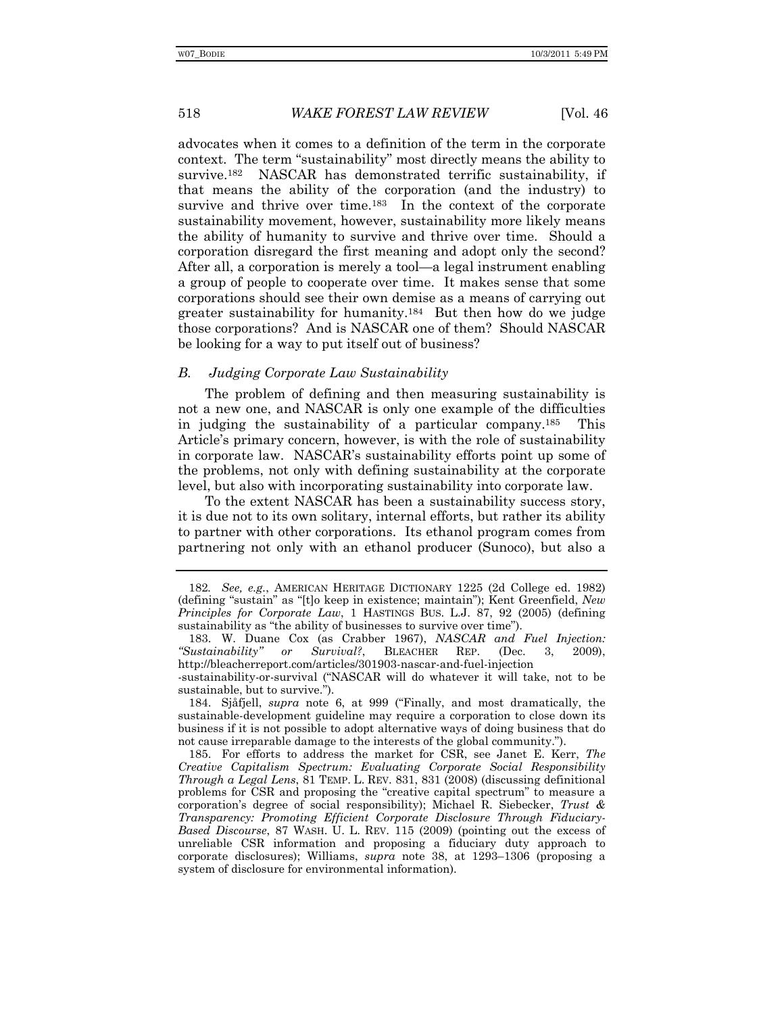advocates when it comes to a definition of the term in the corporate context. The term "sustainability" most directly means the ability to survive.182 NASCAR has demonstrated terrific sustainability, if that means the ability of the corporation (and the industry) to survive and thrive over time.<sup>183</sup> In the context of the corporate sustainability movement, however, sustainability more likely means the ability of humanity to survive and thrive over time. Should a corporation disregard the first meaning and adopt only the second? After all, a corporation is merely a tool—a legal instrument enabling a group of people to cooperate over time. It makes sense that some corporations should see their own demise as a means of carrying out greater sustainability for humanity.184 But then how do we judge those corporations? And is NASCAR one of them? Should NASCAR be looking for a way to put itself out of business?

## *B. Judging Corporate Law Sustainability*

The problem of defining and then measuring sustainability is not a new one, and NASCAR is only one example of the difficulties in judging the sustainability of a particular company.185 This Article's primary concern, however, is with the role of sustainability in corporate law. NASCAR's sustainability efforts point up some of the problems, not only with defining sustainability at the corporate level, but also with incorporating sustainability into corporate law.

To the extent NASCAR has been a sustainability success story, it is due not to its own solitary, internal efforts, but rather its ability to partner with other corporations. Its ethanol program comes from partnering not only with an ethanol producer (Sunoco), but also a

<sup>182</sup>*. See, e.g.*, AMERICAN HERITAGE DICTIONARY 1225 (2d College ed. 1982) (defining "sustain" as "[t]o keep in existence; maintain"); Kent Greenfield, *New Principles for Corporate Law*, 1 HASTINGS BUS. L.J. 87, 92 (2005) (defining sustainability as "the ability of businesses to survive over time").

 <sup>183.</sup> W. Duane Cox (as Crabber 1967), *NASCAR and Fuel Injection: "Sustainability" or Survival?*, BLEACHER REP. (Dec. 3, 2009), http://bleacherreport.com/articles/301903-nascar-and-fuel-injection

<sup>-</sup>sustainability-or-survival ("NASCAR will do whatever it will take, not to be sustainable, but to survive.").

 <sup>184.</sup> Sjåfjell, *supra* note 6, at 999 ("Finally, and most dramatically, the sustainable-development guideline may require a corporation to close down its business if it is not possible to adopt alternative ways of doing business that do not cause irreparable damage to the interests of the global community.").

 <sup>185.</sup> For efforts to address the market for CSR, see Janet E. Kerr, *The Creative Capitalism Spectrum: Evaluating Corporate Social Responsibility Through a Legal Lens*, 81 TEMP. L. REV. 831, 831 (2008) (discussing definitional problems for CSR and proposing the "creative capital spectrum" to measure a corporation's degree of social responsibility); Michael R. Siebecker, *Trust & Transparency: Promoting Efficient Corporate Disclosure Through Fiduciary-Based Discourse*, 87 WASH. U. L. REV. 115 (2009) (pointing out the excess of unreliable CSR information and proposing a fiduciary duty approach to corporate disclosures); Williams, *supra* note 38, at 1293–1306 (proposing a system of disclosure for environmental information).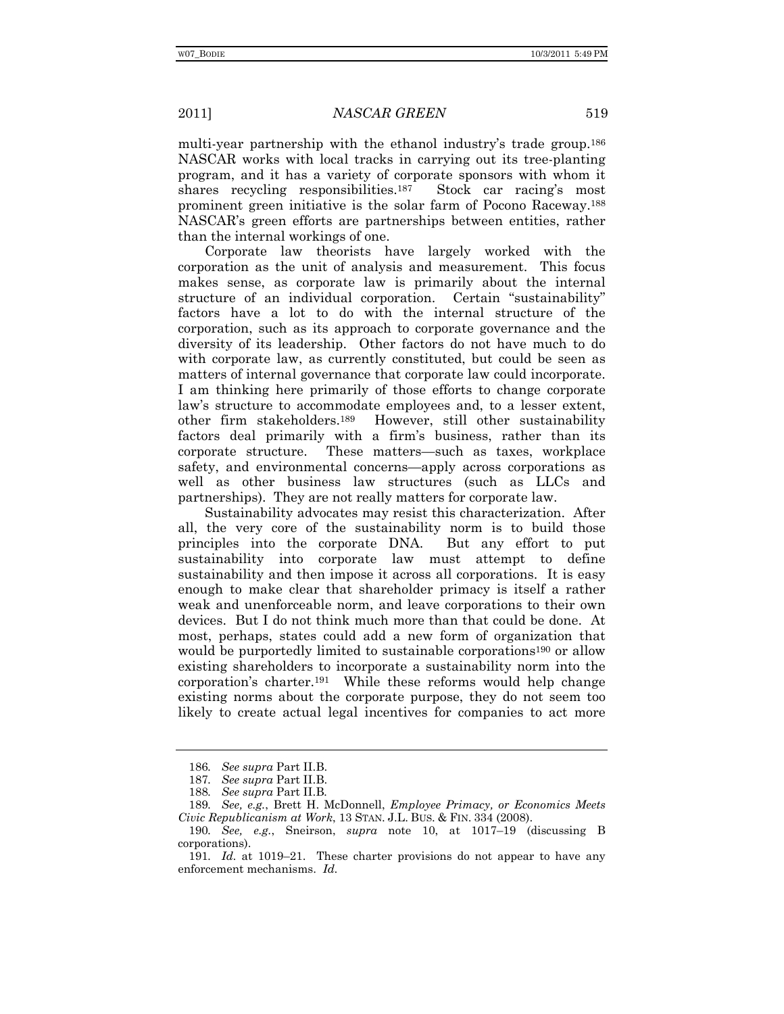multi-year partnership with the ethanol industry's trade group.186 NASCAR works with local tracks in carrying out its tree-planting program, and it has a variety of corporate sponsors with whom it shares recycling responsibilities.187 Stock car racing's most prominent green initiative is the solar farm of Pocono Raceway.188 NASCAR's green efforts are partnerships between entities, rather than the internal workings of one.

Corporate law theorists have largely worked with the corporation as the unit of analysis and measurement. This focus makes sense, as corporate law is primarily about the internal structure of an individual corporation. Certain "sustainability" factors have a lot to do with the internal structure of the corporation, such as its approach to corporate governance and the diversity of its leadership. Other factors do not have much to do with corporate law, as currently constituted, but could be seen as matters of internal governance that corporate law could incorporate. I am thinking here primarily of those efforts to change corporate law's structure to accommodate employees and, to a lesser extent, other firm stakeholders.189 However, still other sustainability factors deal primarily with a firm's business, rather than its corporate structure. These matters—such as taxes, workplace safety, and environmental concerns—apply across corporations as well as other business law structures (such as LLCs and partnerships). They are not really matters for corporate law.

Sustainability advocates may resist this characterization. After all, the very core of the sustainability norm is to build those principles into the corporate DNA. But any effort to put sustainability into corporate law must attempt to define sustainability and then impose it across all corporations. It is easy enough to make clear that shareholder primacy is itself a rather weak and unenforceable norm, and leave corporations to their own devices. But I do not think much more than that could be done. At most, perhaps, states could add a new form of organization that would be purportedly limited to sustainable corporations<sup>190</sup> or allow existing shareholders to incorporate a sustainability norm into the corporation's charter.191 While these reforms would help change existing norms about the corporate purpose, they do not seem too likely to create actual legal incentives for companies to act more

<sup>186</sup>*. See supra* Part II.B.

<sup>187</sup>*. See supra* Part II.B.

<sup>188</sup>*. See supra* Part II.B*.*

<sup>189</sup>*. See, e.g.*, Brett H. McDonnell, *Employee Primacy, or Economics Meets Civic Republicanism at Work*, 13 STAN. J.L. BUS. & FIN. 334 (2008).

<sup>190</sup>*. See, e.g.*, Sneirson, *supra* note 10, at 1017–19 (discussing B corporations).

<sup>191</sup>*. Id.* at 1019–21. These charter provisions do not appear to have any enforcement mechanisms. *Id.*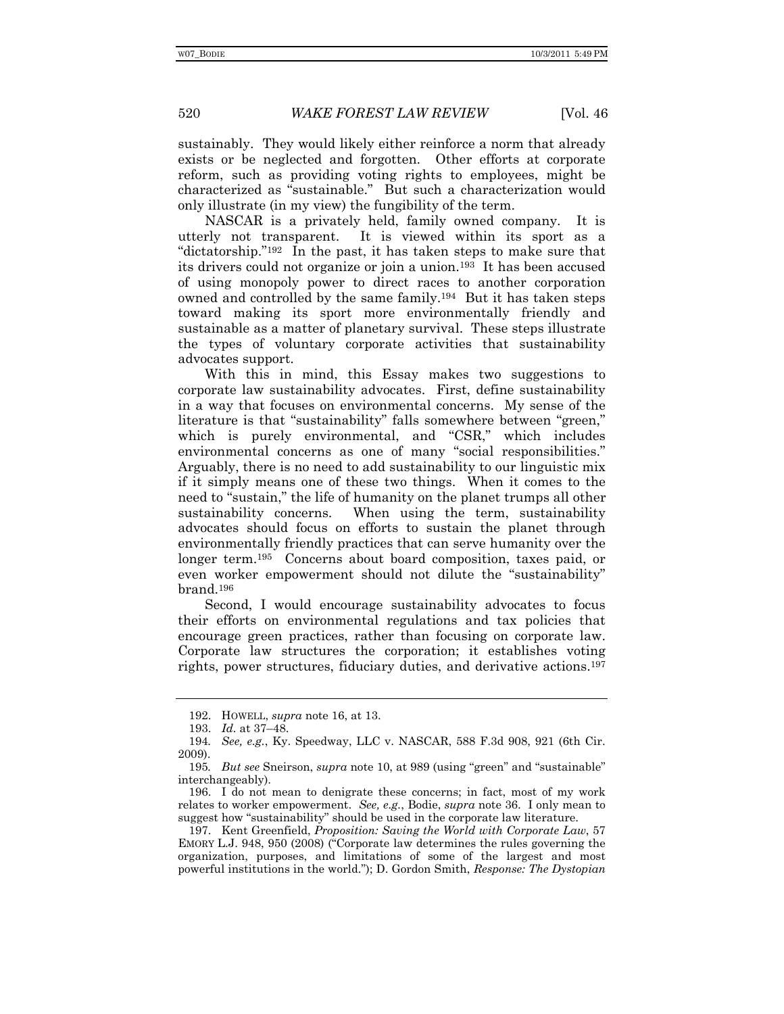sustainably. They would likely either reinforce a norm that already exists or be neglected and forgotten. Other efforts at corporate reform, such as providing voting rights to employees, might be characterized as "sustainable." But such a characterization would only illustrate (in my view) the fungibility of the term.

NASCAR is a privately held, family owned company. It is utterly not transparent. It is viewed within its sport as a "dictatorship."192 In the past, it has taken steps to make sure that its drivers could not organize or join a union.193 It has been accused of using monopoly power to direct races to another corporation owned and controlled by the same family.194 But it has taken steps toward making its sport more environmentally friendly and sustainable as a matter of planetary survival. These steps illustrate the types of voluntary corporate activities that sustainability advocates support.

With this in mind, this Essay makes two suggestions to corporate law sustainability advocates. First, define sustainability in a way that focuses on environmental concerns. My sense of the literature is that "sustainability" falls somewhere between "green," which is purely environmental, and "CSR," which includes environmental concerns as one of many "social responsibilities." Arguably, there is no need to add sustainability to our linguistic mix if it simply means one of these two things. When it comes to the need to "sustain," the life of humanity on the planet trumps all other sustainability concerns. When using the term, sustainability advocates should focus on efforts to sustain the planet through environmentally friendly practices that can serve humanity over the longer term.195 Concerns about board composition, taxes paid, or even worker empowerment should not dilute the "sustainability" brand.196

Second, I would encourage sustainability advocates to focus their efforts on environmental regulations and tax policies that encourage green practices, rather than focusing on corporate law. Corporate law structures the corporation; it establishes voting rights, power structures, fiduciary duties, and derivative actions.197

 196. I do not mean to denigrate these concerns; in fact, most of my work relates to worker empowerment. *See, e.g.*, Bodie, *supra* note 36. I only mean to suggest how "sustainability" should be used in the corporate law literature.

 197. Kent Greenfield, *Proposition: Saving the World with Corporate Law*, 57 EMORY L.J. 948, 950 (2008) ("Corporate law determines the rules governing the organization, purposes, and limitations of some of the largest and most powerful institutions in the world."); D. Gordon Smith, *Response: The Dystopian* 

 <sup>192.</sup> HOWELL, *supra* note 16, at 13.

 <sup>193.</sup> *Id.* at 37–48.

<sup>194</sup>*. See, e.g.*, Ky. Speedway, LLC v. NASCAR, 588 F.3d 908, 921 (6th Cir. 2009).

<sup>195</sup>*. But see* Sneirson, *supra* note 10, at 989 (using "green" and "sustainable" interchangeably).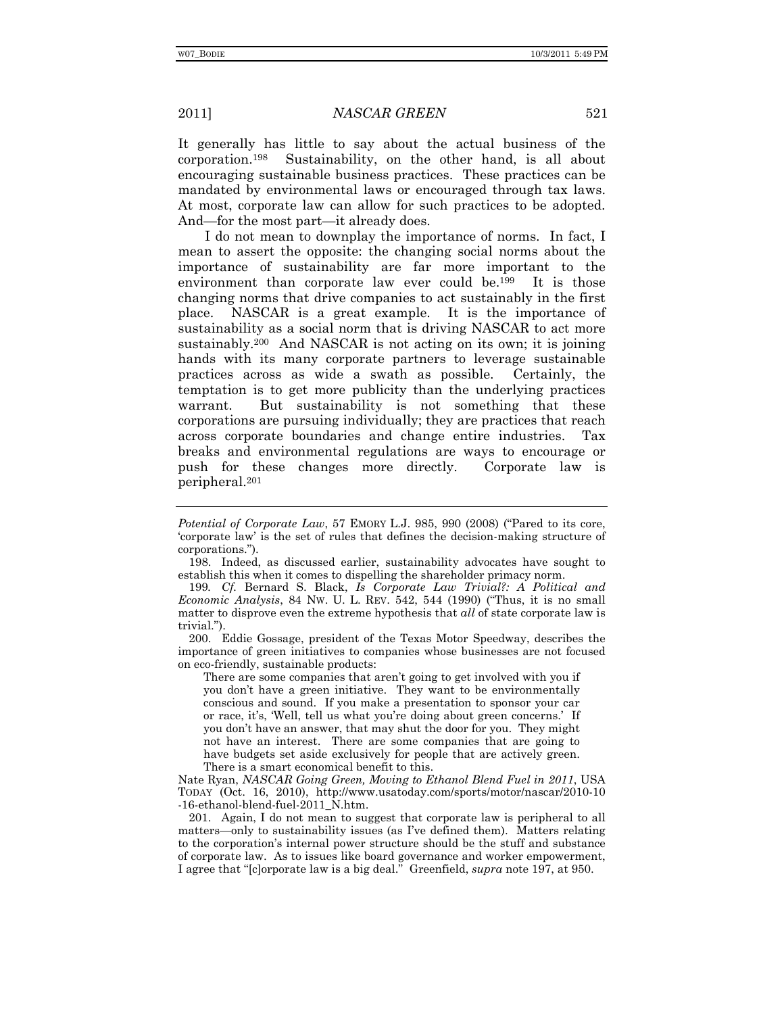It generally has little to say about the actual business of the corporation.198 Sustainability, on the other hand, is all about encouraging sustainable business practices. These practices can be mandated by environmental laws or encouraged through tax laws. At most, corporate law can allow for such practices to be adopted. And—for the most part—it already does.

I do not mean to downplay the importance of norms. In fact, I mean to assert the opposite: the changing social norms about the importance of sustainability are far more important to the environment than corporate law ever could be.199 It is those changing norms that drive companies to act sustainably in the first place. NASCAR is a great example. It is the importance of sustainability as a social norm that is driving NASCAR to act more sustainably.200 And NASCAR is not acting on its own; it is joining hands with its many corporate partners to leverage sustainable practices across as wide a swath as possible. Certainly, the temptation is to get more publicity than the underlying practices warrant. But sustainability is not something that these corporations are pursuing individually; they are practices that reach across corporate boundaries and change entire industries. Tax breaks and environmental regulations are ways to encourage or push for these changes more directly. Corporate law is peripheral.201

*Potential of Corporate Law*, 57 EMORY L.J. 985, 990 (2008) ("Pared to its core, 'corporate law' is the set of rules that defines the decision-making structure of corporations.").

 <sup>198.</sup> Indeed, as discussed earlier, sustainability advocates have sought to establish this when it comes to dispelling the shareholder primacy norm.

<sup>199</sup>*. Cf.* Bernard S. Black, *Is Corporate Law Trivial?: A Political and Economic Analysis*, 84 NW. U. L. REV. 542, 544 (1990) ("Thus, it is no small matter to disprove even the extreme hypothesis that *all* of state corporate law is trivial.").

 <sup>200.</sup> Eddie Gossage, president of the Texas Motor Speedway, describes the importance of green initiatives to companies whose businesses are not focused on eco-friendly, sustainable products:

There are some companies that aren't going to get involved with you if you don't have a green initiative. They want to be environmentally conscious and sound. If you make a presentation to sponsor your car or race, it's, 'Well, tell us what you're doing about green concerns.' If you don't have an answer, that may shut the door for you. They might not have an interest. There are some companies that are going to have budgets set aside exclusively for people that are actively green. There is a smart economical benefit to this.

Nate Ryan, *NASCAR Going Green, Moving to Ethanol Blend Fuel in 2011*, USA TODAY (Oct. 16, 2010), http://www.usatoday.com/sports/motor/nascar/2010-10 -16-ethanol-blend-fuel-2011\_N.htm.

 <sup>201.</sup> Again, I do not mean to suggest that corporate law is peripheral to all matters—only to sustainability issues (as I've defined them). Matters relating to the corporation's internal power structure should be the stuff and substance of corporate law. As to issues like board governance and worker empowerment, I agree that "[c]orporate law is a big deal." Greenfield, *supra* note 197, at 950.